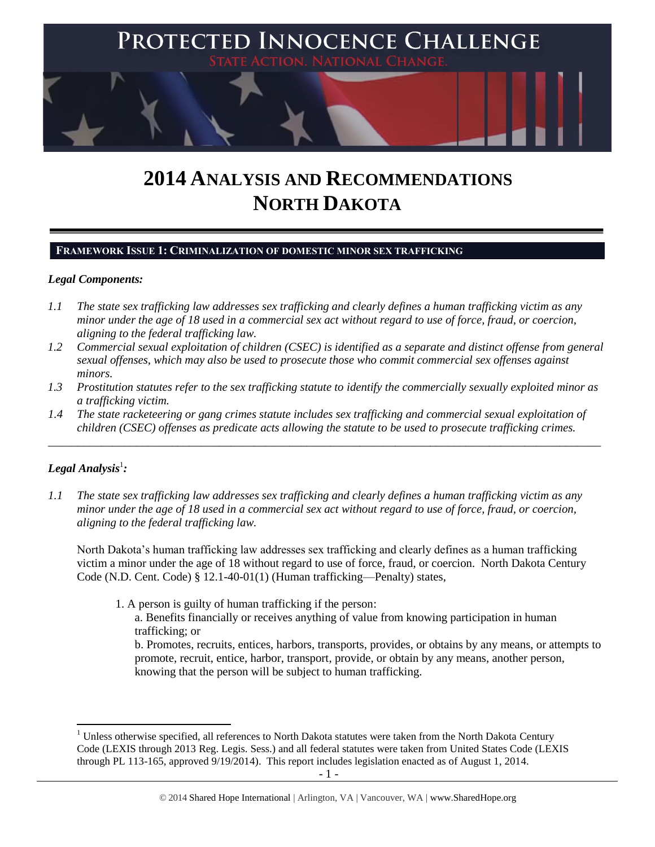

# **2014 ANALYSIS AND RECOMMENDATIONS NORTH DAKOTA**

## **FRAMEWORK ISSUE 1: CRIMINALIZATION OF DOMESTIC MINOR SEX TRAFFICKING**

## *Legal Components:*

- *1.1 The state sex trafficking law addresses sex trafficking and clearly defines a human trafficking victim as any minor under the age of 18 used in a commercial sex act without regard to use of force, fraud, or coercion, aligning to the federal trafficking law.*
- *1.2 Commercial sexual exploitation of children (CSEC) is identified as a separate and distinct offense from general sexual offenses, which may also be used to prosecute those who commit commercial sex offenses against minors.*
- *1.3 Prostitution statutes refer to the sex trafficking statute to identify the commercially sexually exploited minor as a trafficking victim.*
- *1.4 The state racketeering or gang crimes statute includes sex trafficking and commercial sexual exploitation of children (CSEC) offenses as predicate acts allowing the statute to be used to prosecute trafficking crimes.*

\_\_\_\_\_\_\_\_\_\_\_\_\_\_\_\_\_\_\_\_\_\_\_\_\_\_\_\_\_\_\_\_\_\_\_\_\_\_\_\_\_\_\_\_\_\_\_\_\_\_\_\_\_\_\_\_\_\_\_\_\_\_\_\_\_\_\_\_\_\_\_\_\_\_\_\_\_\_\_\_\_\_\_\_\_\_\_\_\_\_\_\_\_\_

# $\bm{L}$ egal Analysis $^1$ :

 $\overline{a}$ 

*1.1 The state sex trafficking law addresses sex trafficking and clearly defines a human trafficking victim as any minor under the age of 18 used in a commercial sex act without regard to use of force, fraud, or coercion, aligning to the federal trafficking law.*

North Dakota's human trafficking law addresses sex trafficking and clearly defines as a human trafficking victim a minor under the age of 18 without regard to use of force, fraud, or coercion. North Dakota Century Code (N.D. Cent. Code) § 12.1-40-01(1) (Human trafficking—Penalty) states,

1. A person is guilty of human trafficking if the person:

a. Benefits financially or receives anything of value from knowing participation in human trafficking; or

b. Promotes, recruits, entices, harbors, transports, provides, or obtains by any means, or attempts to promote, recruit, entice, harbor, transport, provide, or obtain by any means, another person, knowing that the person will be subject to human trafficking.

<sup>&</sup>lt;sup>1</sup> Unless otherwise specified, all references to North Dakota statutes were taken from the North Dakota Century Code (LEXIS through 2013 Reg. Legis. Sess.) and all federal statutes were taken from United States Code (LEXIS through PL 113-165, approved 9/19/2014). This report includes legislation enacted as of August 1, 2014.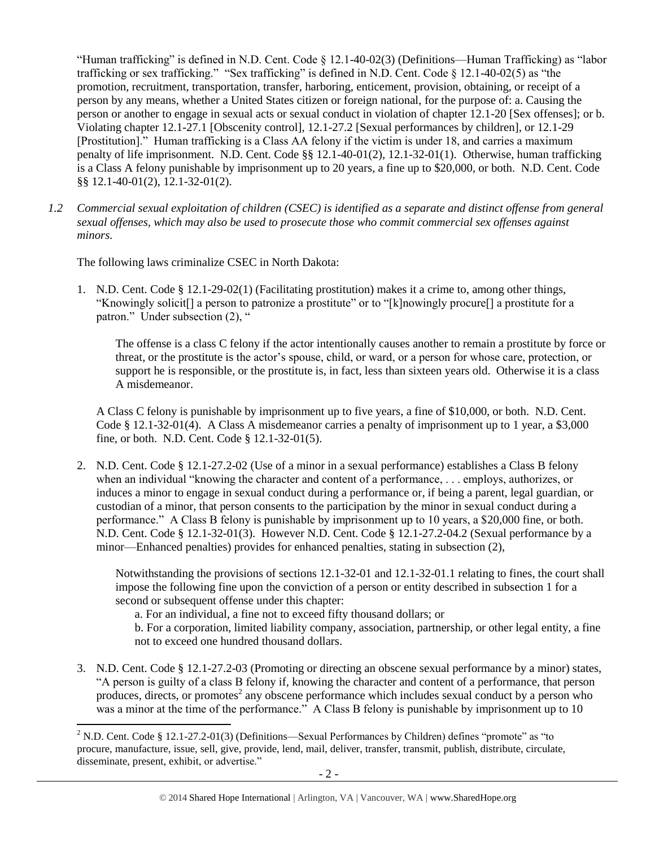"Human trafficking" is defined in N.D. Cent. Code § 12.1-40-02(3) (Definitions—Human Trafficking) as "labor trafficking or sex trafficking." "Sex trafficking" is defined in N.D. Cent. Code § 12.1-40-02(5) as "the promotion, recruitment, transportation, transfer, harboring, enticement, provision, obtaining, or receipt of a person by any means, whether a United States citizen or foreign national, for the purpose of: a. Causing the person or another to engage in sexual acts or sexual conduct in violation of chapter 12.1-20 [Sex offenses]; or b. Violating chapter 12.1-27.1 [Obscenity control], 12.1-27.2 [Sexual performances by children], or 12.1-29 [Prostitution]." Human trafficking is a Class AA felony if the victim is under 18, and carries a maximum penalty of life imprisonment. N.D. Cent. Code §§ 12.1-40-01(2), 12.1-32-01(1). Otherwise, human trafficking is a Class A felony punishable by imprisonment up to 20 years, a fine up to \$20,000, or both. N.D. Cent. Code §§ 12.1-40-01(2), 12.1-32-01(2).

*1.2 Commercial sexual exploitation of children (CSEC) is identified as a separate and distinct offense from general sexual offenses, which may also be used to prosecute those who commit commercial sex offenses against minors.*

The following laws criminalize CSEC in North Dakota:

 $\overline{a}$ 

1. N.D. Cent. Code § 12.1-29-02(1) (Facilitating prostitution) makes it a crime to, among other things, "Knowingly solicit[] a person to patronize a prostitute" or to "[k]nowingly procure[] a prostitute for a patron." Under subsection (2), "

The offense is a class C felony if the actor intentionally causes another to remain a prostitute by force or threat, or the prostitute is the actor's spouse, child, or ward, or a person for whose care, protection, or support he is responsible, or the prostitute is, in fact, less than sixteen years old. Otherwise it is a class A misdemeanor.

A Class C felony is punishable by imprisonment up to five years, a fine of \$10,000, or both. N.D. Cent. Code § 12.1-32-01(4). A Class A misdemeanor carries a penalty of imprisonment up to 1 year, a \$3,000 fine, or both. N.D. Cent. Code § 12.1-32-01(5).

2. N.D. Cent. Code § 12.1-27.2-02 (Use of a minor in a sexual performance) establishes a Class B felony when an individual "knowing the character and content of a performance, . . . employs, authorizes, or induces a minor to engage in sexual conduct during a performance or, if being a parent, legal guardian, or custodian of a minor, that person consents to the participation by the minor in sexual conduct during a performance." A Class B felony is punishable by imprisonment up to 10 years, a \$20,000 fine, or both. N.D. Cent. Code § 12.1-32-01(3). However N.D. Cent. Code § 12.1-27.2-04.2 (Sexual performance by a minor—Enhanced penalties) provides for enhanced penalties, stating in subsection (2),

Notwithstanding the provisions of sections 12.1-32-01 and 12.1-32-01.1 relating to fines, the court shall impose the following fine upon the conviction of a person or entity described in subsection 1 for a second or subsequent offense under this chapter:

a. For an individual, a fine not to exceed fifty thousand dollars; or

b. For a corporation, limited liability company, association, partnership, or other legal entity, a fine not to exceed one hundred thousand dollars.

3. N.D. Cent. Code § 12.1-27.2-03 (Promoting or directing an obscene sexual performance by a minor) states, "A person is guilty of a class B felony if, knowing the character and content of a performance, that person produces, directs, or promotes<sup>2</sup> any obscene performance which includes sexual conduct by a person who was a minor at the time of the performance." A Class B felony is punishable by imprisonment up to 10

<sup>&</sup>lt;sup>2</sup> N.D. Cent. Code § 12.1-27.2-01(3) (Definitions—Sexual Performances by Children) defines "promote" as "to procure, manufacture, issue, sell, give, provide, lend, mail, deliver, transfer, transmit, publish, distribute, circulate, disseminate, present, exhibit, or advertise."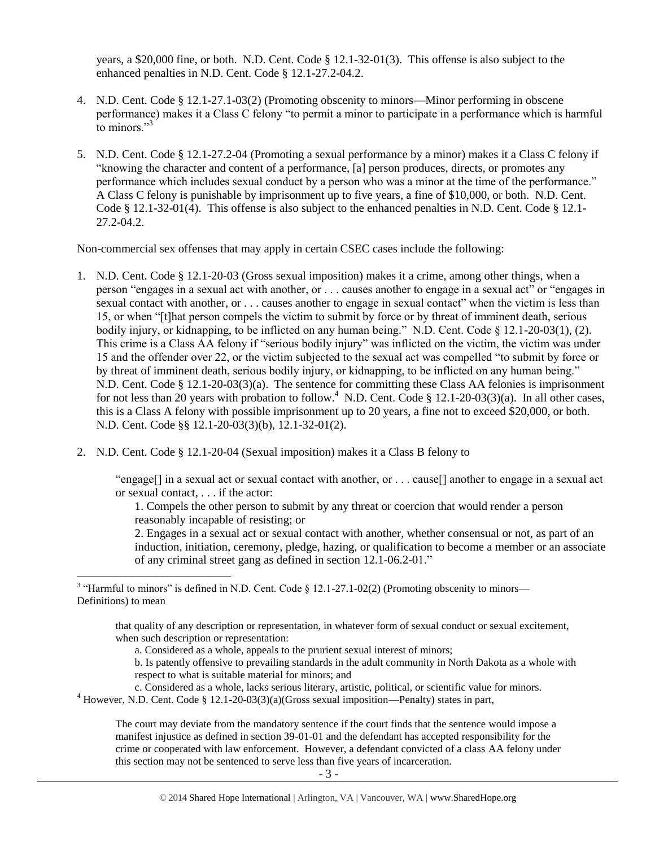years, a \$20,000 fine, or both. N.D. Cent. Code § 12.1-32-01(3). This offense is also subject to the enhanced penalties in N.D. Cent. Code § 12.1-27.2-04.2.

- 4. N.D. Cent. Code § 12.1-27.1-03(2) (Promoting obscenity to minors—Minor performing in obscene performance) makes it a Class C felony "to permit a minor to participate in a performance which is harmful to minors. $\frac{3}{3}$
- 5. N.D. Cent. Code § 12.1-27.2-04 (Promoting a sexual performance by a minor) makes it a Class C felony if "knowing the character and content of a performance, [a] person produces, directs, or promotes any performance which includes sexual conduct by a person who was a minor at the time of the performance." A Class C felony is punishable by imprisonment up to five years, a fine of \$10,000, or both. N.D. Cent. Code § 12.1-32-01(4). This offense is also subject to the enhanced penalties in N.D. Cent. Code § 12.1- 27.2-04.2.

Non-commercial sex offenses that may apply in certain CSEC cases include the following:

- 1. N.D. Cent. Code § 12.1-20-03 (Gross sexual imposition) makes it a crime, among other things, when a person "engages in a sexual act with another, or . . . causes another to engage in a sexual act" or "engages in sexual contact with another, or . . . causes another to engage in sexual contact" when the victim is less than 15, or when "[t]hat person compels the victim to submit by force or by threat of imminent death, serious bodily injury, or kidnapping, to be inflicted on any human being." N.D. Cent. Code § 12.1-20-03(1), (2). This crime is a Class AA felony if "serious bodily injury" was inflicted on the victim, the victim was under 15 and the offender over 22, or the victim subjected to the sexual act was compelled "to submit by force or by threat of imminent death, serious bodily injury, or kidnapping, to be inflicted on any human being." N.D. Cent. Code § 12.1-20-03(3)(a). The sentence for committing these Class AA felonies is imprisonment for not less than 20 years with probation to follow.<sup>4</sup> N.D. Cent. Code § 12.1-20-03(3)(a). In all other cases, this is a Class A felony with possible imprisonment up to 20 years, a fine not to exceed \$20,000, or both. N.D. Cent. Code §§ 12.1-20-03(3)(b), 12.1-32-01(2).
- 2. N.D. Cent. Code § 12.1-20-04 (Sexual imposition) makes it a Class B felony to

"engage[] in a sexual act or sexual contact with another, or . . . cause[] another to engage in a sexual act or sexual contact, . . . if the actor:

1. Compels the other person to submit by any threat or coercion that would render a person reasonably incapable of resisting; or

2. Engages in a sexual act or sexual contact with another, whether consensual or not, as part of an induction, initiation, ceremony, pledge, hazing, or qualification to become a member or an associate of any criminal street gang as defined in section 12.1-06.2-01."

that quality of any description or representation, in whatever form of sexual conduct or sexual excitement, when such description or representation:

a. Considered as a whole, appeals to the prurient sexual interest of minors;

b. Is patently offensive to prevailing standards in the adult community in North Dakota as a whole with respect to what is suitable material for minors; and

- c. Considered as a whole, lacks serious literary, artistic, political, or scientific value for minors.
- <sup>4</sup> However, N.D. Cent. Code § 12.1-20-03(3)(a)(Gross sexual imposition—Penalty) states in part,

The court may deviate from the mandatory sentence if the court finds that the sentence would impose a manifest injustice as defined in section 39-01-01 and the defendant has accepted responsibility for the crime or cooperated with law enforcement. However, a defendant convicted of a class AA felony under this section may not be sentenced to serve less than five years of incarceration.

<sup>&</sup>lt;sup>3</sup> "Harmful to minors" is defined in N.D. Cent. Code § 12.1-27.1-02(2) (Promoting obscenity to minors— Definitions) to mean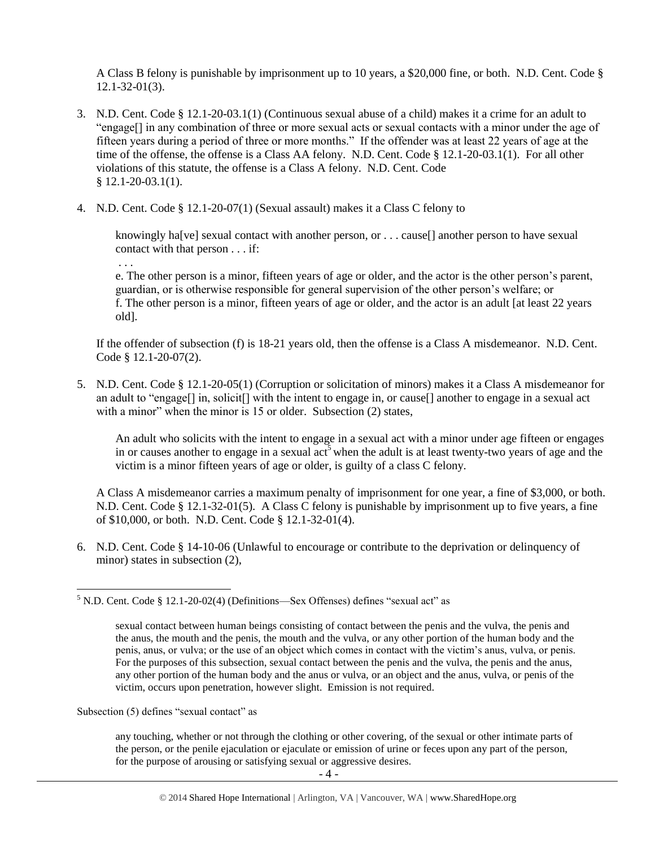A Class B felony is punishable by imprisonment up to 10 years, a \$20,000 fine, or both. N.D. Cent. Code § 12.1-32-01(3).

- 3. N.D. Cent. Code § 12.1-20-03.1(1) (Continuous sexual abuse of a child) makes it a crime for an adult to "engage[] in any combination of three or more sexual acts or sexual contacts with a minor under the age of fifteen years during a period of three or more months." If the offender was at least 22 years of age at the time of the offense, the offense is a Class AA felony. N.D. Cent. Code § 12.1-20-03.1(1). For all other violations of this statute, the offense is a Class A felony. N.D. Cent. Code § 12.1-20-03.1(1).
- 4. N.D. Cent. Code § 12.1-20-07(1) (Sexual assault) makes it a Class C felony to

knowingly ha<sup>[ve]</sup> sexual contact with another person, or . . . cause<sup>[]</sup> another person to have sexual contact with that person . . . if:

. . .

 $\overline{\phantom{a}}$ 

e. The other person is a minor, fifteen years of age or older, and the actor is the other person's parent, guardian, or is otherwise responsible for general supervision of the other person's welfare; or f. The other person is a minor, fifteen years of age or older, and the actor is an adult [at least 22 years old].

If the offender of subsection (f) is 18-21 years old, then the offense is a Class A misdemeanor. N.D. Cent. Code § 12.1-20-07(2).

5. N.D. Cent. Code § 12.1-20-05(1) (Corruption or solicitation of minors) makes it a Class A misdemeanor for an adult to "engage[] in, solicit[] with the intent to engage in, or cause[] another to engage in a sexual act with a minor" when the minor is 15 or older. Subsection (2) states,

An adult who solicits with the intent to engage in a sexual act with a minor under age fifteen or engages in or causes another to engage in a sexual  $\arctan^5$  when the adult is at least twenty-two years of age and the victim is a minor fifteen years of age or older, is guilty of a class C felony.

A Class A misdemeanor carries a maximum penalty of imprisonment for one year, a fine of \$3,000, or both. N.D. Cent. Code § 12.1-32-01(5). A Class C felony is punishable by imprisonment up to five years, a fine of \$10,000, or both. N.D. Cent. Code § 12.1-32-01(4).

6. N.D. Cent. Code § 14-10-06 (Unlawful to encourage or contribute to the deprivation or delinquency of minor) states in subsection (2),

Subsection (5) defines "sexual contact" as

any touching, whether or not through the clothing or other covering, of the sexual or other intimate parts of the person, or the penile ejaculation or ejaculate or emission of urine or feces upon any part of the person, for the purpose of arousing or satisfying sexual or aggressive desires.

 $5$  N.D. Cent. Code § 12.1-20-02(4) (Definitions—Sex Offenses) defines "sexual act" as

sexual contact between human beings consisting of contact between the penis and the vulva, the penis and the anus, the mouth and the penis, the mouth and the vulva, or any other portion of the human body and the penis, anus, or vulva; or the use of an object which comes in contact with the victim's anus, vulva, or penis. For the purposes of this subsection, sexual contact between the penis and the vulva, the penis and the anus, any other portion of the human body and the anus or vulva, or an object and the anus, vulva, or penis of the victim, occurs upon penetration, however slight. Emission is not required.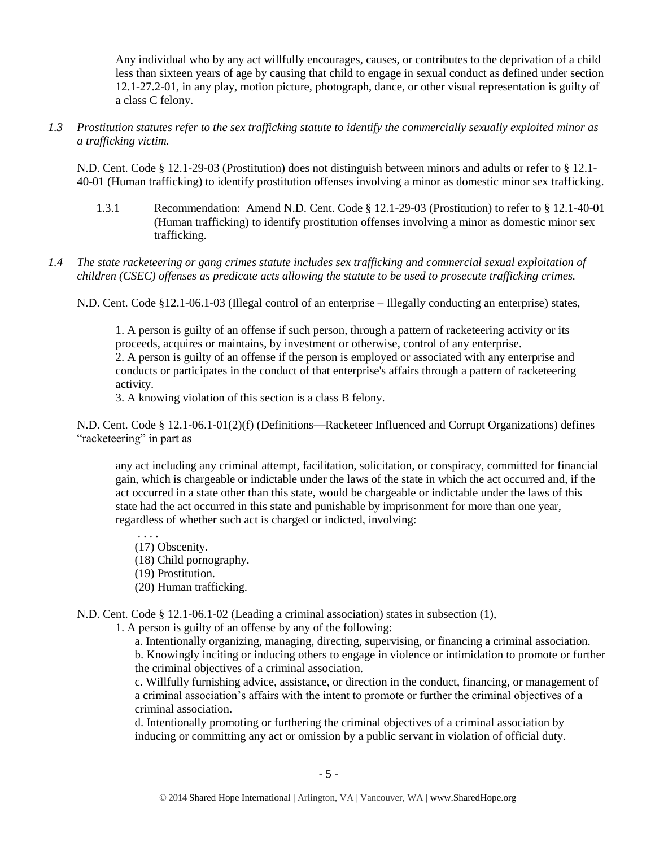Any individual who by any act willfully encourages, causes, or contributes to the deprivation of a child less than sixteen years of age by causing that child to engage in sexual conduct as defined under section 12.1-27.2-01, in any play, motion picture, photograph, dance, or other visual representation is guilty of a class C felony.

*1.3 Prostitution statutes refer to the sex trafficking statute to identify the commercially sexually exploited minor as a trafficking victim.* 

N.D. Cent. Code § 12.1-29-03 (Prostitution) does not distinguish between minors and adults or refer to § 12.1- 40-01 (Human trafficking) to identify prostitution offenses involving a minor as domestic minor sex trafficking.

- 1.3.1 Recommendation: Amend N.D. Cent. Code § 12.1-29-03 (Prostitution) to refer to § 12.1-40-01 (Human trafficking) to identify prostitution offenses involving a minor as domestic minor sex trafficking.
- *1.4 The state racketeering or gang crimes statute includes sex trafficking and commercial sexual exploitation of children (CSEC) offenses as predicate acts allowing the statute to be used to prosecute trafficking crimes.*

N.D. Cent. Code §12.1-06.1-03 (Illegal control of an enterprise – Illegally conducting an enterprise) states,

1. A person is guilty of an offense if such person, through a pattern of racketeering activity or its proceeds, acquires or maintains, by investment or otherwise, control of any enterprise. 2. A person is guilty of an offense if the person is employed or associated with any enterprise and conducts or participates in the conduct of that enterprise's affairs through a pattern of racketeering activity.

3. A knowing violation of this section is a class B felony.

N.D. Cent. Code § 12.1-06.1-01(2)(f) (Definitions—Racketeer Influenced and Corrupt Organizations) defines "racketeering" in part as

any act including any criminal attempt, facilitation, solicitation, or conspiracy, committed for financial gain, which is chargeable or indictable under the laws of the state in which the act occurred and, if the act occurred in a state other than this state, would be chargeable or indictable under the laws of this state had the act occurred in this state and punishable by imprisonment for more than one year, regardless of whether such act is charged or indicted, involving:

. . . . (17) Obscenity. (18) Child pornography. (19) Prostitution. (20) Human trafficking.

N.D. Cent. Code § 12.1-06.1-02 (Leading a criminal association) states in subsection (1),

1. A person is guilty of an offense by any of the following:

a. Intentionally organizing, managing, directing, supervising, or financing a criminal association. b. Knowingly inciting or inducing others to engage in violence or intimidation to promote or further the criminal objectives of a criminal association.

c. Willfully furnishing advice, assistance, or direction in the conduct, financing, or management of a criminal association's affairs with the intent to promote or further the criminal objectives of a criminal association.

d. Intentionally promoting or furthering the criminal objectives of a criminal association by inducing or committing any act or omission by a public servant in violation of official duty.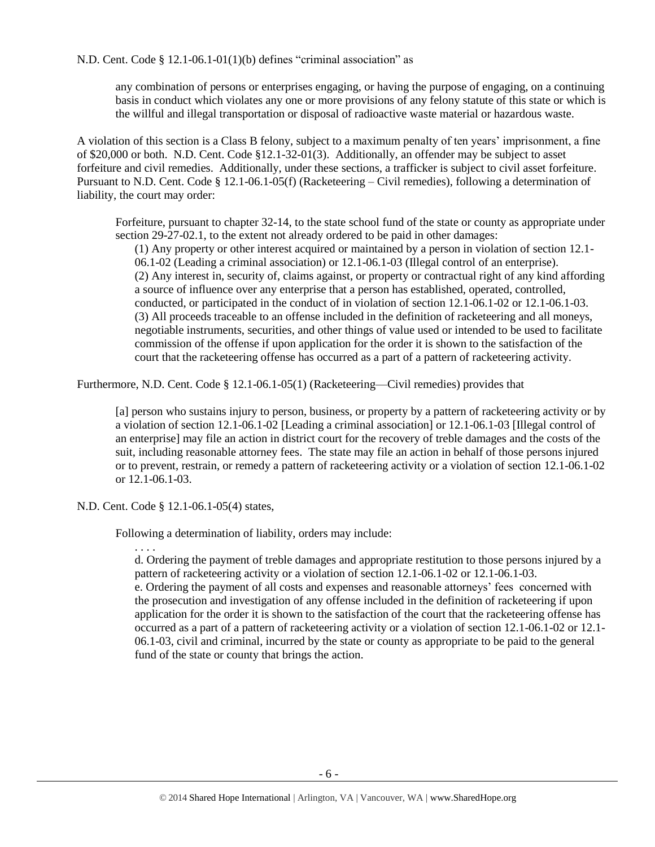N.D. Cent. Code § 12.1-06.1-01(1)(b) defines "criminal association" as

any combination of persons or enterprises engaging, or having the purpose of engaging, on a continuing basis in conduct which violates any one or more provisions of any felony statute of this state or which is the willful and illegal transportation or disposal of radioactive waste material or hazardous waste.

A violation of this section is a Class B felony, subject to a maximum penalty of ten years' imprisonment, a fine of \$20,000 or both. N.D. Cent. Code §12.1-32-01(3). Additionally, an offender may be subject to asset forfeiture and civil remedies. Additionally, under these sections, a trafficker is subject to civil asset forfeiture. Pursuant to N.D. Cent. Code § 12.1-06.1-05(f) (Racketeering – Civil remedies), following a determination of liability, the court may order:

Forfeiture, pursuant to chapter 32-14, to the state school fund of the state or county as appropriate under section 29-27-02.1, to the extent not already ordered to be paid in other damages:

(1) Any property or other interest acquired or maintained by a person in violation of section 12.1- 06.1-02 (Leading a criminal association) or 12.1-06.1-03 (Illegal control of an enterprise). (2) Any interest in, security of, claims against, or property or contractual right of any kind affording a source of influence over any enterprise that a person has established, operated, controlled, conducted, or participated in the conduct of in violation of section 12.1-06.1-02 or 12.1-06.1-03. (3) All proceeds traceable to an offense included in the definition of racketeering and all moneys, negotiable instruments, securities, and other things of value used or intended to be used to facilitate commission of the offense if upon application for the order it is shown to the satisfaction of the court that the racketeering offense has occurred as a part of a pattern of racketeering activity.

Furthermore, N.D. Cent. Code § 12.1-06.1-05(1) (Racketeering—Civil remedies) provides that

[a] person who sustains injury to person, business, or property by a pattern of racketeering activity or by a violation of section 12.1-06.1-02 [Leading a criminal association] or 12.1-06.1-03 [Illegal control of an enterprise] may file an action in district court for the recovery of treble damages and the costs of the suit, including reasonable attorney fees. The state may file an action in behalf of those persons injured or to prevent, restrain, or remedy a pattern of racketeering activity or a violation of section 12.1-06.1-02 or 12.1-06.1-03.

N.D. Cent. Code § 12.1-06.1-05(4) states,

Following a determination of liability, orders may include:

. . . .

d. Ordering the payment of treble damages and appropriate restitution to those persons injured by a pattern of racketeering activity or a violation of section 12.1-06.1-02 or 12.1-06.1-03.

e. Ordering the payment of all costs and expenses and reasonable attorneys' fees concerned with the prosecution and investigation of any offense included in the definition of racketeering if upon application for the order it is shown to the satisfaction of the court that the racketeering offense has occurred as a part of a pattern of racketeering activity or a violation of section 12.1-06.1-02 or 12.1- 06.1-03, civil and criminal, incurred by the state or county as appropriate to be paid to the general fund of the state or county that brings the action.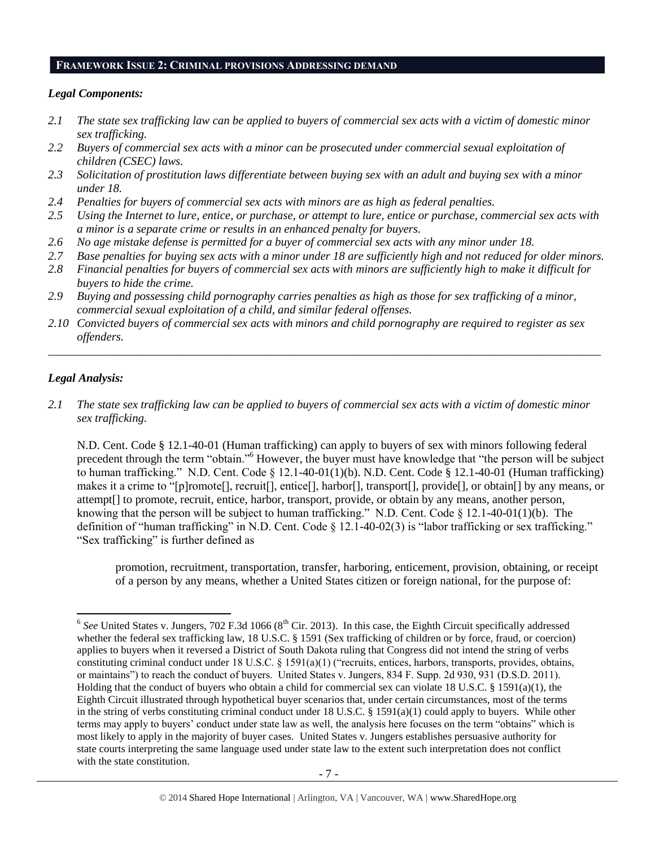#### **FRAMEWORK ISSUE 2: CRIMINAL PROVISIONS ADDRESSING DEMAND**

#### *Legal Components:*

- *2.1 The state sex trafficking law can be applied to buyers of commercial sex acts with a victim of domestic minor sex trafficking.*
- *2.2 Buyers of commercial sex acts with a minor can be prosecuted under commercial sexual exploitation of children (CSEC) laws.*
- *2.3 Solicitation of prostitution laws differentiate between buying sex with an adult and buying sex with a minor under 18.*
- *2.4 Penalties for buyers of commercial sex acts with minors are as high as federal penalties.*
- *2.5 Using the Internet to lure, entice, or purchase, or attempt to lure, entice or purchase, commercial sex acts with a minor is a separate crime or results in an enhanced penalty for buyers.*
- *2.6 No age mistake defense is permitted for a buyer of commercial sex acts with any minor under 18.*
- *2.7 Base penalties for buying sex acts with a minor under 18 are sufficiently high and not reduced for older minors.*
- *2.8 Financial penalties for buyers of commercial sex acts with minors are sufficiently high to make it difficult for buyers to hide the crime.*
- *2.9 Buying and possessing child pornography carries penalties as high as those for sex trafficking of a minor, commercial sexual exploitation of a child, and similar federal offenses.*
- *2.10 Convicted buyers of commercial sex acts with minors and child pornography are required to register as sex offenders.*

\_\_\_\_\_\_\_\_\_\_\_\_\_\_\_\_\_\_\_\_\_\_\_\_\_\_\_\_\_\_\_\_\_\_\_\_\_\_\_\_\_\_\_\_\_\_\_\_\_\_\_\_\_\_\_\_\_\_\_\_\_\_\_\_\_\_\_\_\_\_\_\_\_\_\_\_\_\_\_\_\_\_\_\_\_\_\_\_\_\_\_\_\_\_

#### *Legal Analysis:*

*2.1 The state sex trafficking law can be applied to buyers of commercial sex acts with a victim of domestic minor sex trafficking.* 

N.D. Cent. Code § 12.1-40-01 (Human trafficking) can apply to buyers of sex with minors following federal precedent through the term "obtain."<sup>6</sup> However, the buyer must have knowledge that "the person will be subject to human trafficking." N.D. Cent. Code  $\S 12.1-40-01(1)$ (b). N.D. Cent. Code  $\S 12.1-40-01$  (Human trafficking) makes it a crime to "[p]romote[], recruit[], entice[], harbor[], transport[], provide[], or obtain[] by any means, or attempt[] to promote, recruit, entice, harbor, transport, provide, or obtain by any means, another person, knowing that the person will be subject to human trafficking." N.D. Cent. Code  $\S 12.1-40-01(1)(b)$ . The definition of "human trafficking" in N.D. Cent. Code  $\S$  12.1-40-02(3) is "labor trafficking or sex trafficking." "Sex trafficking" is further defined as

promotion, recruitment, transportation, transfer, harboring, enticement, provision, obtaining, or receipt of a person by any means, whether a United States citizen or foreign national, for the purpose of:

<sup>&</sup>lt;sup>6</sup> See United States v. Jungers, 702 F.3d 1066 (8<sup>th</sup> Cir. 2013). In this case, the Eighth Circuit specifically addressed whether the federal sex trafficking law, 18 U.S.C. § 1591 (Sex trafficking of children or by force, fraud, or coercion) applies to buyers when it reversed a District of South Dakota ruling that Congress did not intend the string of verbs constituting criminal conduct under 18 U.S.C. § 1591(a)(1) ("recruits, entices, harbors, transports, provides, obtains, or maintains") to reach the conduct of buyers. United States v. Jungers, 834 F. Supp. 2d 930, 931 (D.S.D. 2011). Holding that the conduct of buyers who obtain a child for commercial sex can violate 18 U.S.C. § 1591(a)(1), the Eighth Circuit illustrated through hypothetical buyer scenarios that, under certain circumstances, most of the terms in the string of verbs constituting criminal conduct under 18 U.S.C. § 1591(a)(1) could apply to buyers. While other terms may apply to buyers' conduct under state law as well, the analysis here focuses on the term "obtains" which is most likely to apply in the majority of buyer cases. United States v. Jungers establishes persuasive authority for state courts interpreting the same language used under state law to the extent such interpretation does not conflict with the state constitution.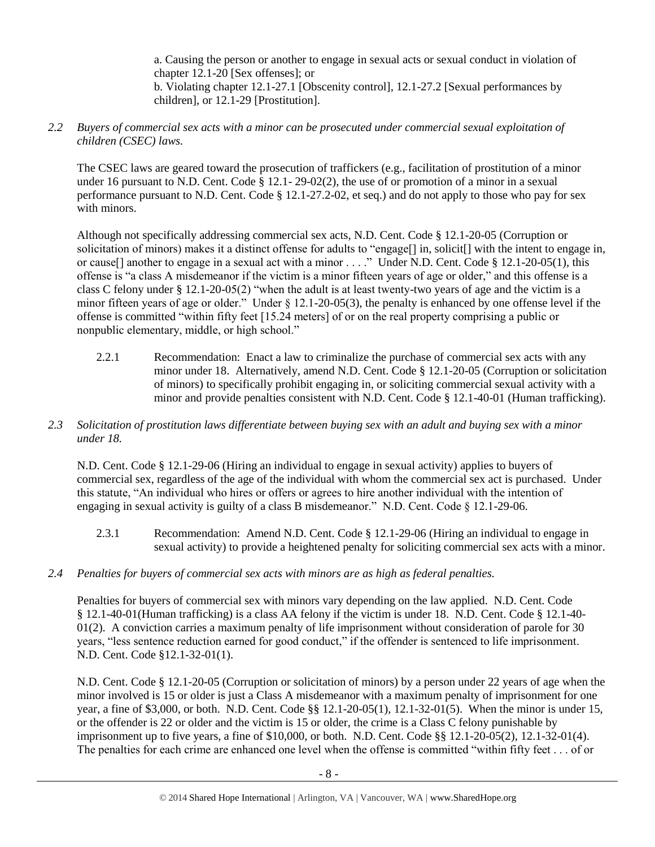a. Causing the person or another to engage in sexual acts or sexual conduct in violation of chapter 12.1-20 [Sex offenses]; or b. Violating chapter 12.1-27.1 [Obscenity control], 12.1-27.2 [Sexual performances by children], or 12.1-29 [Prostitution].

#### *2.2 Buyers of commercial sex acts with a minor can be prosecuted under commercial sexual exploitation of children (CSEC) laws.*

The CSEC laws are geared toward the prosecution of traffickers (e.g., facilitation of prostitution of a minor under 16 pursuant to N.D. Cent. Code § 12.1- 29-02(2), the use of or promotion of a minor in a sexual performance pursuant to N.D. Cent. Code § 12.1-27.2-02, et seq.) and do not apply to those who pay for sex with minors.

Although not specifically addressing commercial sex acts, N.D. Cent. Code § 12.1-20-05 (Corruption or solicitation of minors) makes it a distinct offense for adults to "engage<sup>[]</sup> in, solicit<sup>[]</sup> with the intent to engage in, or cause[] another to engage in a sexual act with a minor . . . ." Under N.D. Cent. Code § 12.1-20-05(1), this offense is "a class A misdemeanor if the victim is a minor fifteen years of age or older," and this offense is a class C felony under § 12.1-20-05(2) "when the adult is at least twenty-two years of age and the victim is a minor fifteen years of age or older." Under § 12.1-20-05(3), the penalty is enhanced by one offense level if the offense is committed "within fifty feet [15.24 meters] of or on the real property comprising a public or nonpublic elementary, middle, or high school."

2.2.1 Recommendation: Enact a law to criminalize the purchase of commercial sex acts with any minor under 18. Alternatively, amend N.D. Cent. Code § 12.1-20-05 (Corruption or solicitation of minors) to specifically prohibit engaging in, or soliciting commercial sexual activity with a minor and provide penalties consistent with N.D. Cent. Code § 12.1-40-01 (Human trafficking).

## *2.3 Solicitation of prostitution laws differentiate between buying sex with an adult and buying sex with a minor under 18.*

N.D. Cent. Code § 12.1-29-06 (Hiring an individual to engage in sexual activity) applies to buyers of commercial sex, regardless of the age of the individual with whom the commercial sex act is purchased. Under this statute, "An individual who hires or offers or agrees to hire another individual with the intention of engaging in sexual activity is guilty of a class B misdemeanor." N.D. Cent. Code § 12.1-29-06.

2.3.1 Recommendation: Amend N.D. Cent. Code § 12.1-29-06 (Hiring an individual to engage in sexual activity) to provide a heightened penalty for soliciting commercial sex acts with a minor.

# *2.4 Penalties for buyers of commercial sex acts with minors are as high as federal penalties.*

Penalties for buyers of commercial sex with minors vary depending on the law applied. N.D. Cent. Code § 12.1-40-01(Human trafficking) is a class AA felony if the victim is under 18. N.D. Cent. Code § 12.1-40- 01(2). A conviction carries a maximum penalty of life imprisonment without consideration of parole for 30 years, "less sentence reduction earned for good conduct," if the offender is sentenced to life imprisonment. N.D. Cent. Code §12.1-32-01(1).

N.D. Cent. Code § 12.1-20-05 (Corruption or solicitation of minors) by a person under 22 years of age when the minor involved is 15 or older is just a Class A misdemeanor with a maximum penalty of imprisonment for one year, a fine of \$3,000, or both. N.D. Cent. Code §§ 12.1-20-05(1), 12.1-32-01(5). When the minor is under 15, or the offender is 22 or older and the victim is 15 or older, the crime is a Class C felony punishable by imprisonment up to five years, a fine of \$10,000, or both. N.D. Cent. Code §§ 12.1-20-05(2), 12.1-32-01(4). The penalties for each crime are enhanced one level when the offense is committed "within fifty feet . . . of or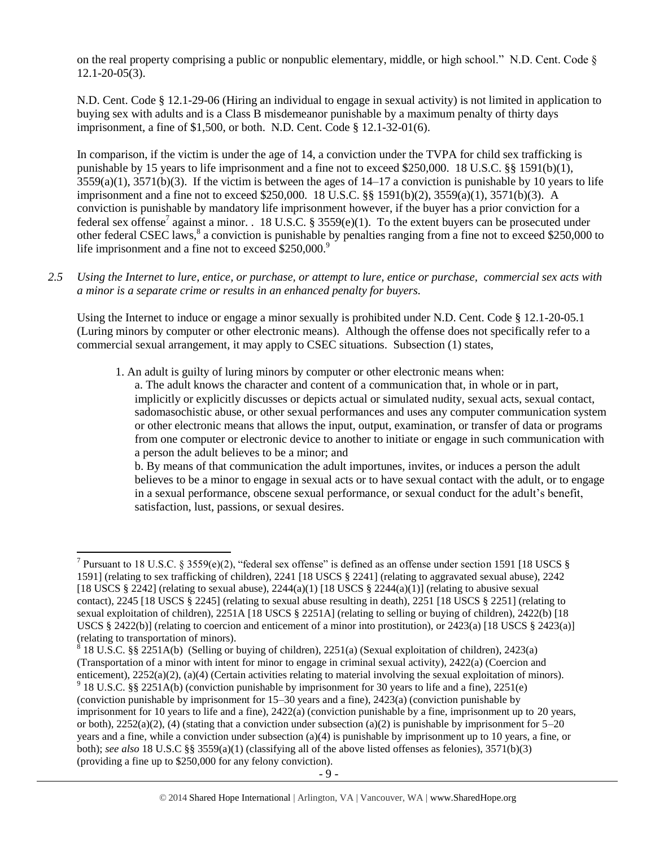on the real property comprising a public or nonpublic elementary, middle, or high school." N.D. Cent. Code  $\S$ 12.1-20-05(3).

N.D. Cent. Code § 12.1-29-06 (Hiring an individual to engage in sexual activity) is not limited in application to buying sex with adults and is a Class B misdemeanor punishable by a maximum penalty of thirty days imprisonment, a fine of \$1,500, or both. N.D. Cent. Code § 12.1-32-01(6).

<span id="page-8-0"></span>In comparison, if the victim is under the age of 14, a conviction under the TVPA for child sex trafficking is punishable by 15 years to life imprisonment and a fine not to exceed \$250,000. 18 U.S.C. §§ 1591(b)(1),  $3559(a)(1)$ ,  $3571(b)(3)$ . If the victim is between the ages of  $14-17$  a conviction is punishable by 10 years to life imprisonment and a fine not to exceed \$250,000. 18 U.S.C. §§ 1591(b)(2), 3559(a)(1), 3571(b)(3). A conviction is punishable by mandatory life imprisonment however, if the buyer has a prior conviction for a federal sex offense<sup>7</sup> against a minor. . 18 U.S.C. § 3559(e)(1). To the extent buyers can be prosecuted under other federal CSEC laws,<sup>8</sup> a conviction is punishable by penalties ranging from a fine not to exceed \$250,000 to life imprisonment and a fine not to exceed  $$250,000.<sup>9</sup>$ 

*2.5 Using the Internet to lure, entice, or purchase, or attempt to lure, entice or purchase, commercial sex acts with a minor is a separate crime or results in an enhanced penalty for buyers.*

Using the Internet to induce or engage a minor sexually is prohibited under N.D. Cent. Code § 12.1-20-05.1 (Luring minors by computer or other electronic means). Although the offense does not specifically refer to a commercial sexual arrangement, it may apply to CSEC situations. Subsection (1) states,

1. An adult is guilty of luring minors by computer or other electronic means when:

a. The adult knows the character and content of a communication that, in whole or in part, implicitly or explicitly discusses or depicts actual or simulated nudity, sexual acts, sexual contact, sadomasochistic abuse, or other sexual performances and uses any computer communication system or other electronic means that allows the input, output, examination, or transfer of data or programs from one computer or electronic device to another to initiate or engage in such communication with a person the adult believes to be a minor; and

b. By means of that communication the adult importunes, invites, or induces a person the adult believes to be a minor to engage in sexual acts or to have sexual contact with the adult, or to engage in a sexual performance, obscene sexual performance, or sexual conduct for the adult's benefit, satisfaction, lust, passions, or sexual desires.

 $\overline{\phantom{a}}$ 

(Transportation of a minor with intent for minor to engage in criminal sexual activity), 2422(a) (Coercion and enticement), 2252(a)(2), (a)(4) (Certain activities relating to material involving the sexual exploitation of minors).  $9$  18 U.S.C. §§ 2251A(b) (conviction punishable by imprisonment for 30 years to life and a fine), 2251(e) (conviction punishable by imprisonment for 15–30 years and a fine), 2423(a) (conviction punishable by imprisonment for 10 years to life and a fine), 2422(a) (conviction punishable by a fine, imprisonment up to 20 years, or both),  $2252(a)(2)$ , (4) (stating that a conviction under subsection (a)(2) is punishable by imprisonment for  $5-20$ years and a fine, while a conviction under subsection (a)(4) is punishable by imprisonment up to 10 years, a fine, or both); *see also* 18 U.S.C §§ 3559(a)(1) (classifying all of the above listed offenses as felonies), 3571(b)(3) (providing a fine up to \$250,000 for any felony conviction).

<sup>&</sup>lt;sup>7</sup> Pursuant to 18 U.S.C. § 3559(e)(2), "federal sex offense" is defined as an offense under section 1591 [18 USCS § 1591] (relating to sex trafficking of children), 2241 [18 USCS § 2241] (relating to aggravated sexual abuse), 2242 [18 USCS § 2242] (relating to sexual abuse),  $2244(a)(1)$  [18 USCS § 2244(a)(1)] (relating to abusive sexual contact), 2245 [18 USCS § 2245] (relating to sexual abuse resulting in death), 2251 [18 USCS § 2251] (relating to sexual exploitation of children), 2251A [18 USCS § 2251A] (relating to selling or buying of children), 2422(b) [18 USCS § 2422(b)] (relating to coercion and enticement of a minor into prostitution), or 2423(a) [18 USCS § 2423(a)] (relating to transportation of minors). 8 18 U.S.C. §§ 2251A(b) (Selling or buying of children), 2251(a) (Sexual exploitation of children), 2423(a)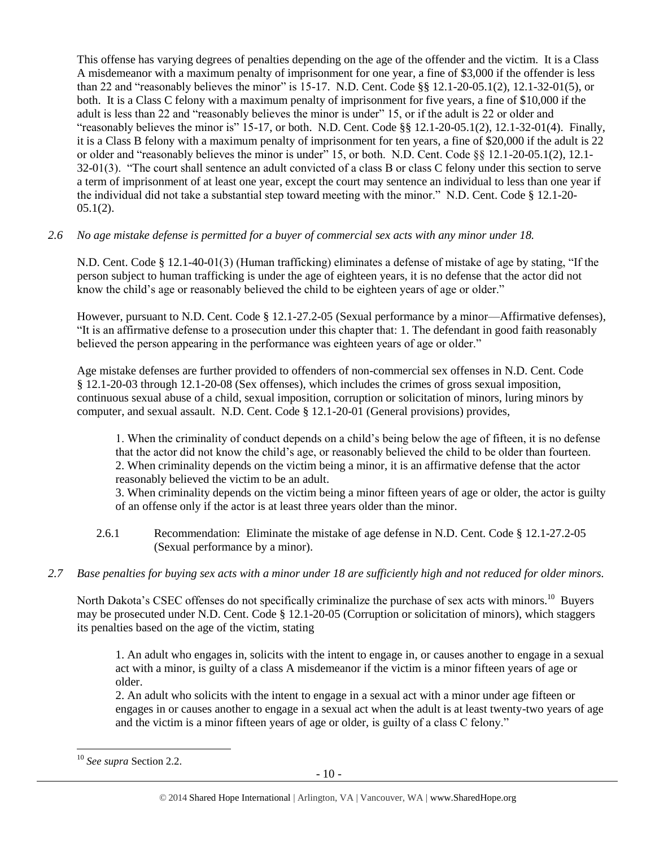This offense has varying degrees of penalties depending on the age of the offender and the victim. It is a Class A misdemeanor with a maximum penalty of imprisonment for one year, a fine of \$3,000 if the offender is less than 22 and "reasonably believes the minor" is 15-17. N.D. Cent. Code §§ 12.1-20-05.1(2), 12.1-32-01(5), or both. It is a Class C felony with a maximum penalty of imprisonment for five years, a fine of \$10,000 if the adult is less than 22 and "reasonably believes the minor is under" 15, or if the adult is 22 or older and "reasonably believes the minor is"  $15-17$ , or both. N.D. Cent. Code §§  $12.1-20-05.1(2)$ ,  $12.1-32-01(4)$ . Finally, it is a Class B felony with a maximum penalty of imprisonment for ten years, a fine of \$20,000 if the adult is 22 or older and "reasonably believes the minor is under" 15, or both. N.D. Cent. Code §§ 12.1-20-05.1(2), 12.1- 32-01(3). "The court shall sentence an adult convicted of a class B or class C felony under this section to serve a term of imprisonment of at least one year, except the court may sentence an individual to less than one year if the individual did not take a substantial step toward meeting with the minor." N.D. Cent. Code § 12.1-20-  $05.1(2)$ .

# *2.6 No age mistake defense is permitted for a buyer of commercial sex acts with any minor under 18.*

N.D. Cent. Code § 12.1-40-01(3) (Human trafficking) eliminates a defense of mistake of age by stating, "If the person subject to human trafficking is under the age of eighteen years, it is no defense that the actor did not know the child's age or reasonably believed the child to be eighteen years of age or older."

However, pursuant to N.D. Cent. Code § 12.1-27.2-05 (Sexual performance by a minor—Affirmative defenses), "It is an affirmative defense to a prosecution under this chapter that: 1. The defendant in good faith reasonably believed the person appearing in the performance was eighteen years of age or older."

Age mistake defenses are further provided to offenders of non-commercial sex offenses in N.D. Cent. Code § 12.1-20-03 through 12.1-20-08 (Sex offenses), which includes the crimes of gross sexual imposition, continuous sexual abuse of a child, sexual imposition, corruption or solicitation of minors, luring minors by computer, and sexual assault. N.D. Cent. Code § 12.1-20-01 (General provisions) provides,

1. When the criminality of conduct depends on a child's being below the age of fifteen, it is no defense that the actor did not know the child's age, or reasonably believed the child to be older than fourteen. 2. When criminality depends on the victim being a minor, it is an affirmative defense that the actor reasonably believed the victim to be an adult.

3. When criminality depends on the victim being a minor fifteen years of age or older, the actor is guilty of an offense only if the actor is at least three years older than the minor.

- 2.6.1 Recommendation: Eliminate the mistake of age defense in N.D. Cent. Code § 12.1-27.2-05 (Sexual performance by a minor).
- *2.7 Base penalties for buying sex acts with a minor under 18 are sufficiently high and not reduced for older minors.*

North Dakota's CSEC offenses do not specifically criminalize the purchase of sex acts with minors.<sup>10</sup> Buyers may be prosecuted under N.D. Cent. Code § 12.1-20-05 (Corruption or solicitation of minors), which staggers its penalties based on the age of the victim, stating

1. An adult who engages in, solicits with the intent to engage in, or causes another to engage in a sexual act with a minor, is guilty of a class A misdemeanor if the victim is a minor fifteen years of age or older.

2. An adult who solicits with the intent to engage in a sexual act with a minor under age fifteen or engages in or causes another to engage in a sexual act when the adult is at least twenty-two years of age and the victim is a minor fifteen years of age or older, is guilty of a class C felony."

 $\overline{\phantom{a}}$ <sup>10</sup> *See supra* Section 2.2.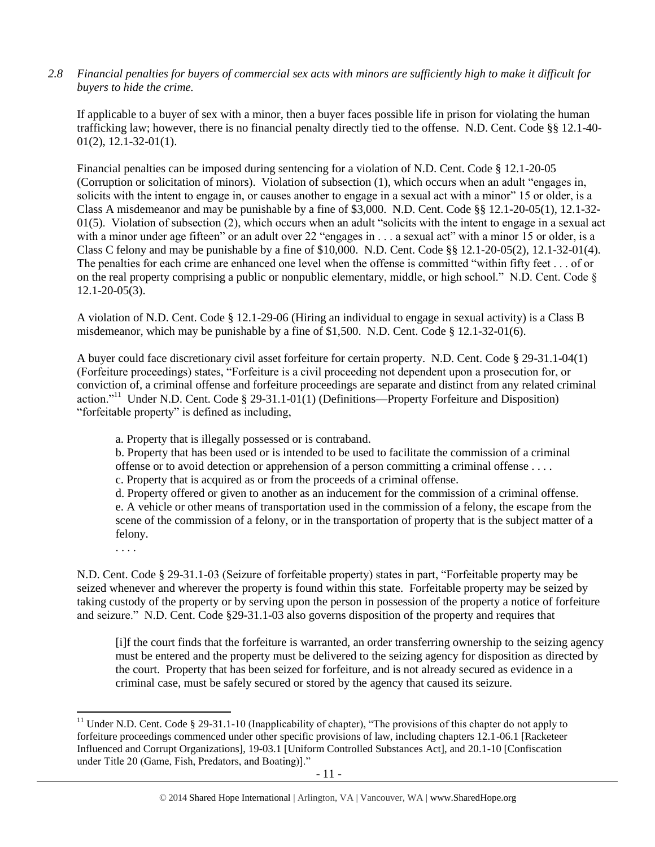*2.8 Financial penalties for buyers of commercial sex acts with minors are sufficiently high to make it difficult for buyers to hide the crime.*

If applicable to a buyer of sex with a minor, then a buyer faces possible life in prison for violating the human trafficking law; however, there is no financial penalty directly tied to the offense. N.D. Cent. Code §§ 12.1-40-  $01(2)$ , 12.1-32-01(1).

Financial penalties can be imposed during sentencing for a violation of N.D. Cent. Code § 12.1-20-05 (Corruption or solicitation of minors). Violation of subsection (1), which occurs when an adult "engages in, solicits with the intent to engage in, or causes another to engage in a sexual act with a minor" 15 or older, is a Class A misdemeanor and may be punishable by a fine of \$3,000. N.D. Cent. Code §§ 12.1-20-05(1), 12.1-32-  $01(5)$ . Violation of subsection (2), which occurs when an adult "solicits with the intent to engage in a sexual act with a minor under age fifteen" or an adult over 22 "engages in . . . a sexual act" with a minor 15 or older, is a Class C felony and may be punishable by a fine of \$10,000. N.D. Cent. Code §§ 12.1-20-05(2), 12.1-32-01(4). The penalties for each crime are enhanced one level when the offense is committed "within fifty feet . . . of or on the real property comprising a public or nonpublic elementary, middle, or high school." N.D. Cent. Code § 12.1-20-05(3).

A violation of N.D. Cent. Code § 12.1-29-06 (Hiring an individual to engage in sexual activity) is a Class B misdemeanor, which may be punishable by a fine of \$1,500. N.D. Cent. Code § 12.1-32-01(6).

A buyer could face discretionary civil asset forfeiture for certain property. N.D. Cent. Code § 29-31.1-04(1) (Forfeiture proceedings) states, "Forfeiture is a civil proceeding not dependent upon a prosecution for, or conviction of, a criminal offense and forfeiture proceedings are separate and distinct from any related criminal action."<sup>11</sup> Under N.D. Cent. Code § 29-31.1-01(1) (Definitions—Property Forfeiture and Disposition) "forfeitable property" is defined as including,

<span id="page-10-0"></span>a. Property that is illegally possessed or is contraband.

b. Property that has been used or is intended to be used to facilitate the commission of a criminal offense or to avoid detection or apprehension of a person committing a criminal offense . . . .

c. Property that is acquired as or from the proceeds of a criminal offense.

d. Property offered or given to another as an inducement for the commission of a criminal offense. e. A vehicle or other means of transportation used in the commission of a felony, the escape from the scene of the commission of a felony, or in the transportation of property that is the subject matter of a felony.

. . . .

l

N.D. Cent. Code § 29-31.1-03 (Seizure of forfeitable property) states in part, "Forfeitable property may be seized whenever and wherever the property is found within this state. Forfeitable property may be seized by taking custody of the property or by serving upon the person in possession of the property a notice of forfeiture and seizure." N.D. Cent. Code §29-31.1-03 also governs disposition of the property and requires that

[i]f the court finds that the forfeiture is warranted, an order transferring ownership to the seizing agency must be entered and the property must be delivered to the seizing agency for disposition as directed by the court. Property that has been seized for forfeiture, and is not already secured as evidence in a criminal case, must be safely secured or stored by the agency that caused its seizure.

<sup>&</sup>lt;sup>11</sup> Under N.D. Cent. Code § 29-31.1-10 (Inapplicability of chapter), "The provisions of this chapter do not apply to forfeiture proceedings commenced under other specific provisions of law, including chapters 12.1-06.1 [Racketeer Influenced and Corrupt Organizations], 19-03.1 [Uniform Controlled Substances Act], and 20.1-10 [Confiscation under Title 20 (Game, Fish, Predators, and Boating)]."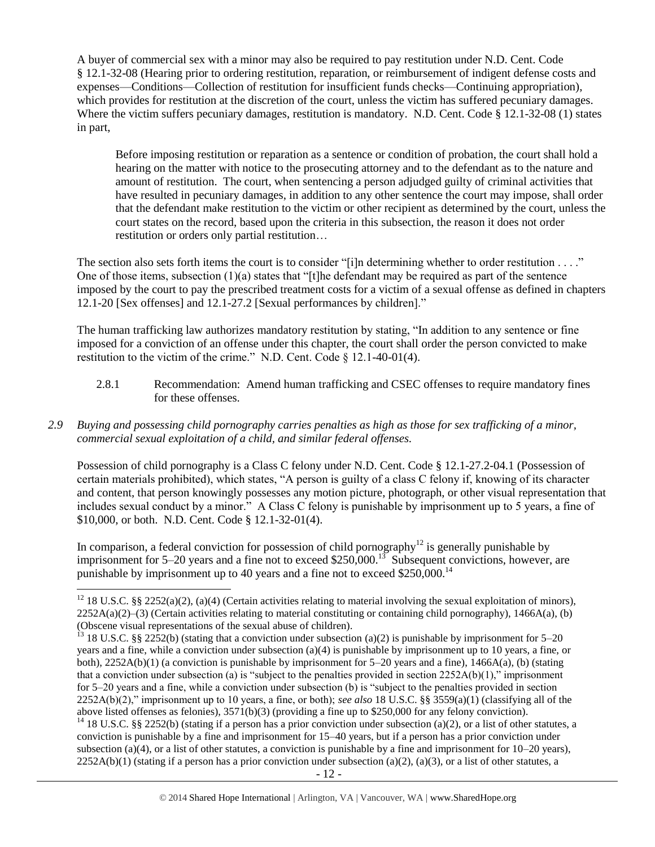A buyer of commercial sex with a minor may also be required to pay restitution under N.D. Cent. Code § 12.1-32-08 (Hearing prior to ordering restitution, reparation, or reimbursement of indigent defense costs and expenses—Conditions—Collection of restitution for insufficient funds checks—Continuing appropriation), which provides for restitution at the discretion of the court, unless the victim has suffered pecuniary damages. Where the victim suffers pecuniary damages, restitution is mandatory. N.D. Cent. Code § 12.1-32-08 (1) states in part,

Before imposing restitution or reparation as a sentence or condition of probation, the court shall hold a hearing on the matter with notice to the prosecuting attorney and to the defendant as to the nature and amount of restitution. The court, when sentencing a person adjudged guilty of criminal activities that have resulted in pecuniary damages, in addition to any other sentence the court may impose, shall order that the defendant make restitution to the victim or other recipient as determined by the court, unless the court states on the record, based upon the criteria in this subsection, the reason it does not order restitution or orders only partial restitution…

The section also sets forth items the court is to consider "[i]n determining whether to order restitution  $\dots$ ." One of those items, subsection (1)(a) states that "[t]he defendant may be required as part of the sentence imposed by the court to pay the prescribed treatment costs for a victim of a sexual offense as defined in chapters 12.1-20 [Sex offenses] and 12.1-27.2 [Sexual performances by children]."

The human trafficking law authorizes mandatory restitution by stating, "In addition to any sentence or fine imposed for a conviction of an offense under this chapter, the court shall order the person convicted to make restitution to the victim of the crime." N.D. Cent. Code § 12.1-40-01(4).

- 2.8.1 Recommendation: Amend human trafficking and CSEC offenses to require mandatory fines for these offenses.
- *2.9 Buying and possessing child pornography carries penalties as high as those for sex trafficking of a minor, commercial sexual exploitation of a child, and similar federal offenses.*

Possession of child pornography is a Class C felony under N.D. Cent. Code § 12.1-27.2-04.1 (Possession of certain materials prohibited), which states, "A person is guilty of a class C felony if, knowing of its character and content, that person knowingly possesses any motion picture, photograph, or other visual representation that includes sexual conduct by a minor." A Class C felony is punishable by imprisonment up to 5 years, a fine of \$10,000, or both. N.D. Cent. Code § 12.1-32-01(4).

In comparison, a federal conviction for possession of child pornography<sup>12</sup> is generally punishable by imprisonment for 5–20 years and a fine not to exceed \$250,000.<sup>13</sup> Subsequent convictions, however, are punishable by imprisonment up to 40 years and a fine not to exceed \$250,000.<sup>14</sup>

 $\overline{\phantom{a}}$ 

<sup>&</sup>lt;sup>12</sup> 18 U.S.C. §§ 2252(a)(2), (a)(4) (Certain activities relating to material involving the sexual exploitation of minors),  $2252A(a)(2)$ –(3) (Certain activities relating to material constituting or containing child pornography), 1466A(a), (b) (Obscene visual representations of the sexual abuse of children).

<sup>&</sup>lt;sup>13</sup> 18 U.S.C. §§ 2252(b) (stating that a conviction under subsection (a)(2) is punishable by imprisonment for 5–20 years and a fine, while a conviction under subsection (a)(4) is punishable by imprisonment up to 10 years, a fine, or both), 2252A(b)(1) (a conviction is punishable by imprisonment for 5–20 years and a fine), 1466A(a), (b) (stating that a conviction under subsection (a) is "subject to the penalties provided in section  $2252A(b)(1)$ ," imprisonment for 5–20 years and a fine, while a conviction under subsection (b) is "subject to the penalties provided in section 2252A(b)(2)," imprisonment up to 10 years, a fine, or both); *see also* 18 U.S.C. §§ 3559(a)(1) (classifying all of the above listed offenses as felonies), 3571(b)(3) (providing a fine up to \$250,000 for any felony conviction).

<sup>&</sup>lt;sup>14</sup> 18 U.S.C. §§ 2252(b) (stating if a person has a prior conviction under subsection (a)(2), or a list of other statutes, a conviction is punishable by a fine and imprisonment for 15–40 years, but if a person has a prior conviction under subsection (a)(4), or a list of other statutes, a conviction is punishable by a fine and imprisonment for  $10-20$  years),  $2252A(b)(1)$  (stating if a person has a prior conviction under subsection (a)(2), (a)(3), or a list of other statutes, a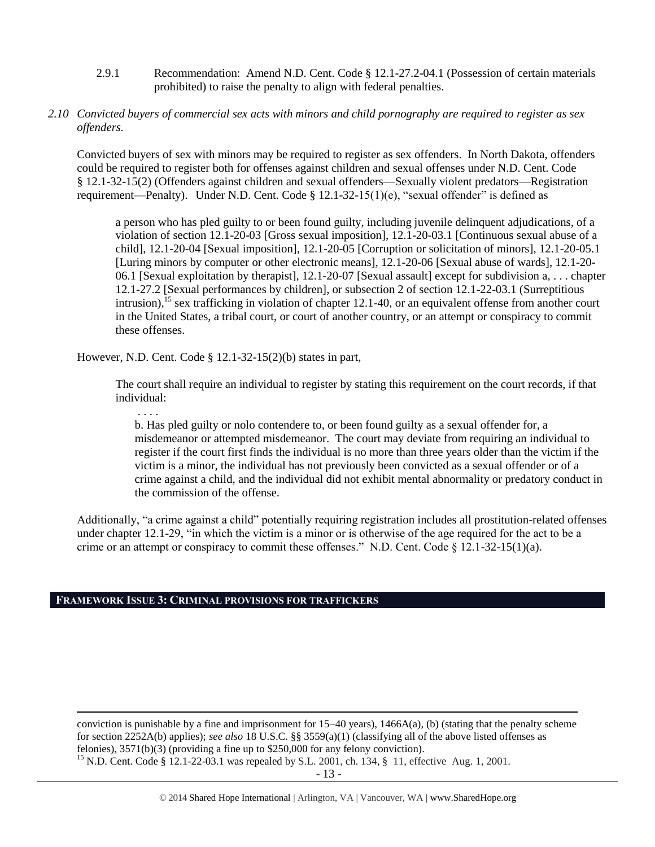- 2.9.1 Recommendation: Amend N.D. Cent. Code § 12.1-27.2-04.1 (Possession of certain materials prohibited) to raise the penalty to align with federal penalties.
- *2.10 Convicted buyers of commercial sex acts with minors and child pornography are required to register as sex offenders.*

Convicted buyers of sex with minors may be required to register as sex offenders. In North Dakota, offenders could be required to register both for offenses against children and sexual offenses under N.D. Cent. Code § 12.1-32-15(2) (Offenders against children and sexual offenders—Sexually violent predators—Registration requirement—Penalty). Under N.D. Cent. Code § 12.1-32-15(1)(e), "sexual offender" is defined as

<span id="page-12-0"></span>a person who has pled guilty to or been found guilty, including juvenile delinquent adjudications, of a violation of section 12.1-20-03 [Gross sexual imposition], 12.1-20-03.1 [Continuous sexual abuse of a child], 12.1-20-04 [Sexual imposition], 12.1-20-05 [Corruption or solicitation of minors], 12.1-20-05.1 [Luring minors by computer or other electronic means], 12.1-20-06 [Sexual abuse of wards], 12.1-20- 06.1 [Sexual exploitation by therapist], 12.1-20-07 [Sexual assault] except for subdivision a, . . . chapter 12.1-27.2 [Sexual performances by children], or subsection 2 of section 12.1-22-03.1 (Surreptitious intrusion), <sup>15</sup> sex trafficking in violation of chapter 12.1-40, or an equivalent offense from another court in the United States, a tribal court, or court of another country, or an attempt or conspiracy to commit these offenses.

However, N.D. Cent. Code § 12.1-32-15(2)(b) states in part,

The court shall require an individual to register by stating this requirement on the court records, if that individual:

. . . .

b. Has pled guilty or nolo contendere to, or been found guilty as a sexual offender for, a misdemeanor or attempted misdemeanor. The court may deviate from requiring an individual to register if the court first finds the individual is no more than three years older than the victim if the victim is a minor, the individual has not previously been convicted as a sexual offender or of a crime against a child, and the individual did not exhibit mental abnormality or predatory conduct in the commission of the offense.

Additionally, "a crime against a child" potentially requiring registration includes all prostitution-related offenses under chapter 12.1-29, "in which the victim is a minor or is otherwise of the age required for the act to be a crime or an attempt or conspiracy to commit these offenses." N.D. Cent. Code § 12.1-32-15(1)(a).

# **FRAMEWORK ISSUE 3: CRIMINAL PROVISIONS FOR TRAFFICKERS**

l conviction is punishable by a fine and imprisonment for  $15-40$  years),  $1466A(a)$ , (b) (stating that the penalty scheme for section 2252A(b) applies); *see also* 18 U.S.C. §§ 3559(a)(1) (classifying all of the above listed offenses as felonies), 3571(b)(3) (providing a fine up to \$250,000 for any felony conviction).

<sup>15</sup> N.D. Cent. Code § 12.1-22-03.1 was repealed by S.L. 2001, ch. 134, § 11, effective Aug. 1, 2001.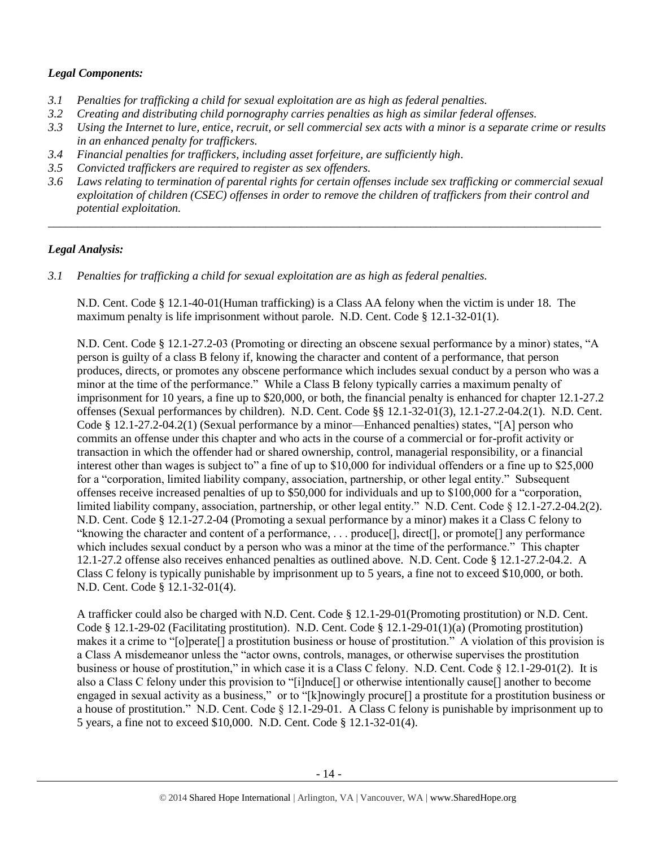# *Legal Components:*

- *3.1 Penalties for trafficking a child for sexual exploitation are as high as federal penalties.*
- *3.2 Creating and distributing child pornography carries penalties as high as similar federal offenses.*
- *3.3 Using the Internet to lure, entice, recruit, or sell commercial sex acts with a minor is a separate crime or results in an enhanced penalty for traffickers.*
- *3.4 Financial penalties for traffickers, including asset forfeiture, are sufficiently high*.
- *3.5 Convicted traffickers are required to register as sex offenders.*
- *3.6 Laws relating to termination of parental rights for certain offenses include sex trafficking or commercial sexual exploitation of children (CSEC) offenses in order to remove the children of traffickers from their control and potential exploitation.*

*\_\_\_\_\_\_\_\_\_\_\_\_\_\_\_\_\_\_\_\_\_\_\_\_\_\_\_\_\_\_\_\_\_\_\_\_\_\_\_\_\_\_\_\_\_\_\_\_\_\_\_\_\_\_\_\_\_\_\_\_\_\_\_\_\_\_\_\_\_\_\_\_\_\_\_\_\_\_\_\_\_\_\_\_\_\_\_\_\_\_\_\_\_\_*

# *Legal Analysis:*

*3.1 Penalties for trafficking a child for sexual exploitation are as high as federal penalties.* 

N.D. Cent. Code § 12.1-40-01(Human trafficking) is a Class AA felony when the victim is under 18. The maximum penalty is life imprisonment without parole. N.D. Cent. Code § 12.1-32-01(1).

N.D. Cent. Code § 12.1-27.2-03 (Promoting or directing an obscene sexual performance by a minor) states, "A person is guilty of a class B felony if, knowing the character and content of a performance, that person produces, directs, or promotes any obscene performance which includes sexual conduct by a person who was a minor at the time of the performance." While a Class B felony typically carries a maximum penalty of imprisonment for 10 years, a fine up to \$20,000, or both, the financial penalty is enhanced for chapter 12.1-27.2 offenses (Sexual performances by children). N.D. Cent. Code §§ 12.1-32-01(3), 12.1-27.2-04.2(1). N.D. Cent. Code § 12.1-27.2-04.2(1) (Sexual performance by a minor—Enhanced penalties) states, "[A] person who commits an offense under this chapter and who acts in the course of a commercial or for-profit activity or transaction in which the offender had or shared ownership, control, managerial responsibility, or a financial interest other than wages is subject to" a fine of up to \$10,000 for individual offenders or a fine up to \$25,000 for a "corporation, limited liability company, association, partnership, or other legal entity." Subsequent offenses receive increased penalties of up to \$50,000 for individuals and up to \$100,000 for a "corporation, limited liability company, association, partnership, or other legal entity." N.D. Cent. Code § 12.1-27.2-04.2(2). N.D. Cent. Code § 12.1-27.2-04 (Promoting a sexual performance by a minor) makes it a Class C felony to "knowing the character and content of a performance, . . . produce[], direct[], or promote[] any performance which includes sexual conduct by a person who was a minor at the time of the performance." This chapter 12.1-27.2 offense also receives enhanced penalties as outlined above. N.D. Cent. Code § 12.1-27.2-04.2. A Class C felony is typically punishable by imprisonment up to 5 years, a fine not to exceed \$10,000, or both. N.D. Cent. Code § 12.1-32-01(4).

A trafficker could also be charged with N.D. Cent. Code § 12.1-29-01(Promoting prostitution) or N.D. Cent. Code § 12.1-29-02 (Facilitating prostitution). N.D. Cent. Code § 12.1-29-01(1)(a) (Promoting prostitution) makes it a crime to "[o]perate[] a prostitution business or house of prostitution." A violation of this provision is a Class A misdemeanor unless the "actor owns, controls, manages, or otherwise supervises the prostitution business or house of prostitution," in which case it is a Class C felony. N.D. Cent. Code § 12.1-29-01(2). It is also a Class C felony under this provision to "[i]nduce[] or otherwise intentionally cause[] another to become engaged in sexual activity as a business," or to "[k]nowingly procure[] a prostitute for a prostitution business or a house of prostitution." N.D. Cent. Code § 12.1-29-01. A Class C felony is punishable by imprisonment up to 5 years, a fine not to exceed \$10,000. N.D. Cent. Code § 12.1-32-01(4).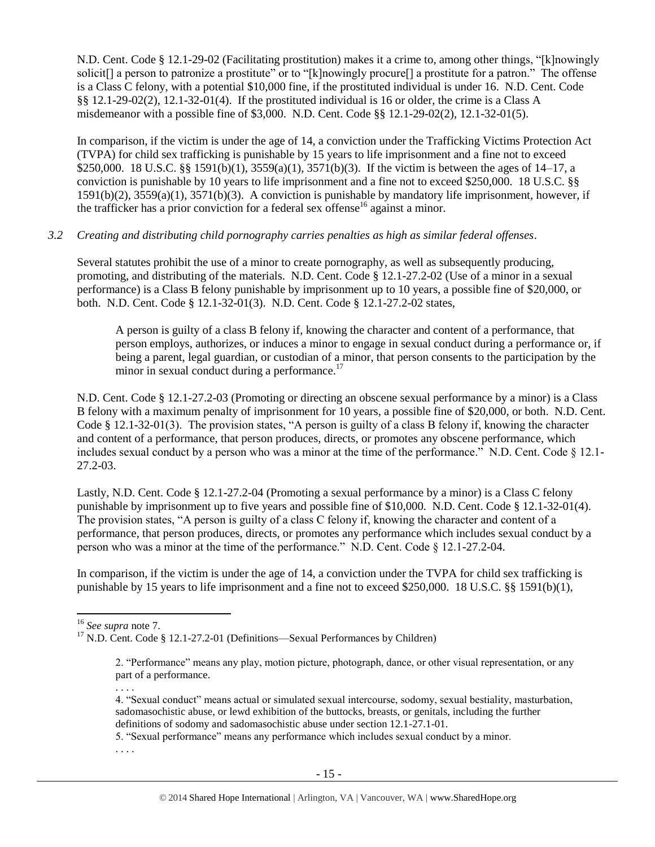N.D. Cent. Code § 12.1-29-02 (Facilitating prostitution) makes it a crime to, among other things, "[k]nowingly solicit<sup>[]</sup> a person to patronize a prostitute" or to "[k]nowingly procure<sup>[]</sup> a prostitute for a patron." The offense is a Class C felony, with a potential \$10,000 fine, if the prostituted individual is under 16. N.D. Cent. Code §§ 12.1-29-02(2), 12.1-32-01(4). If the prostituted individual is 16 or older, the crime is a Class A misdemeanor with a possible fine of \$3,000. N.D. Cent. Code §§ 12.1-29-02(2), 12.1-32-01(5).

In comparison, if the victim is under the age of 14, a conviction under the Trafficking Victims Protection Act (TVPA) for child sex trafficking is punishable by 15 years to life imprisonment and a fine not to exceed \$250,000. 18 U.S.C. §§ 1591(b)(1), 3559(a)(1), 3571(b)(3). If the victim is between the ages of 14–17, a conviction is punishable by 10 years to life imprisonment and a fine not to exceed \$250,000. 18 U.S.C. §§ 1591(b)(2), 3559(a)(1), 3571(b)(3). A conviction is punishable by mandatory life imprisonment, however, if the trafficker has a prior conviction for a federal sex offense<sup>16</sup> against a minor.

#### *3.2 Creating and distributing child pornography carries penalties as high as similar federal offenses*.

Several statutes prohibit the use of a minor to create pornography, as well as subsequently producing, promoting, and distributing of the materials. N.D. Cent. Code § 12.1-27.2-02 (Use of a minor in a sexual performance) is a Class B felony punishable by imprisonment up to 10 years, a possible fine of \$20,000, or both. N.D. Cent. Code § 12.1-32-01(3). N.D. Cent. Code § 12.1-27.2-02 states,

A person is guilty of a class B felony if, knowing the character and content of a performance, that person employs, authorizes, or induces a minor to engage in sexual conduct during a performance or, if being a parent, legal guardian, or custodian of a minor, that person consents to the participation by the minor in sexual conduct during a performance.<sup>17</sup>

N.D. Cent. Code § 12.1-27.2-03 (Promoting or directing an obscene sexual performance by a minor) is a Class B felony with a maximum penalty of imprisonment for 10 years, a possible fine of \$20,000, or both. N.D. Cent. Code § 12.1-32-01(3). The provision states, "A person is guilty of a class B felony if, knowing the character and content of a performance, that person produces, directs, or promotes any obscene performance, which includes sexual conduct by a person who was a minor at the time of the performance." N.D. Cent. Code § 12.1- 27.2-03.

Lastly, N.D. Cent. Code § 12.1-27.2-04 (Promoting a sexual performance by a minor) is a Class C felony punishable by imprisonment up to five years and possible fine of \$10,000. N.D. Cent. Code § 12.1-32-01(4). The provision states, "A person is guilty of a class C felony if, knowing the character and content of a performance, that person produces, directs, or promotes any performance which includes sexual conduct by a person who was a minor at the time of the performance." N.D. Cent. Code § 12.1-27.2-04.

In comparison, if the victim is under the age of 14, a conviction under the TVPA for child sex trafficking is punishable by 15 years to life imprisonment and a fine not to exceed \$250,000. 18 U.S.C. §§ 1591(b)(1),

 $\overline{a}$ 

. . . .

5. "Sexual performance" means any performance which includes sexual conduct by a minor.

. . . .

<sup>16</sup> *See supra* note [7.](#page-8-0)

<sup>&</sup>lt;sup>17</sup> N.D. Cent. Code § 12.1-27.2-01 (Definitions—Sexual Performances by Children)

<sup>2. &</sup>quot;Performance" means any play, motion picture, photograph, dance, or other visual representation, or any part of a performance.

<sup>4. &</sup>quot;Sexual conduct" means actual or simulated sexual intercourse, sodomy, sexual bestiality, masturbation, sadomasochistic abuse, or lewd exhibition of the buttocks, breasts, or genitals, including the further definitions of sodomy and sadomasochistic abuse under section 12.1-27.1-01.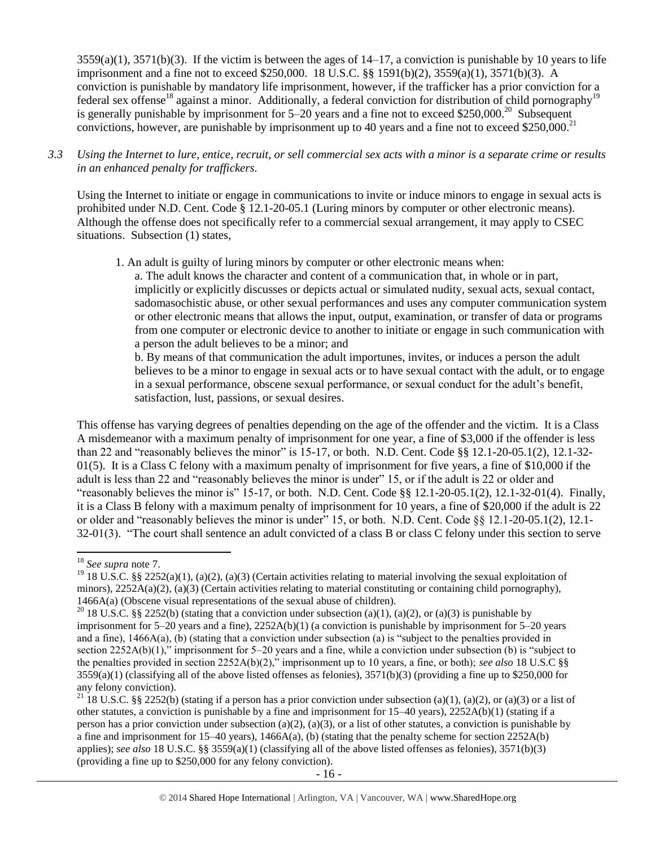3559(a)(1), 3571(b)(3). If the victim is between the ages of 14–17, a conviction is punishable by 10 years to life imprisonment and a fine not to exceed \$250,000. 18 U.S.C. §§ 1591(b)(2), 3559(a)(1), 3571(b)(3). A conviction is punishable by mandatory life imprisonment, however, if the trafficker has a prior conviction for a federal sex offense<sup>18</sup> against a minor. Additionally, a federal conviction for distribution of child pornography<sup>19</sup> is generally punishable by imprisonment for  $5-20$  years and a fine not to exceed \$250,000.<sup>20</sup> Subsequent convictions, however, are punishable by imprisonment up to 40 years and a fine not to exceed \$250,000.<sup>21</sup>

*3.3 Using the Internet to lure, entice, recruit, or sell commercial sex acts with a minor is a separate crime or results in an enhanced penalty for traffickers.*

Using the Internet to initiate or engage in communications to invite or induce minors to engage in sexual acts is prohibited under N.D. Cent. Code § 12.1-20-05.1 (Luring minors by computer or other electronic means). Although the offense does not specifically refer to a commercial sexual arrangement, it may apply to CSEC situations. Subsection (1) states,

1. An adult is guilty of luring minors by computer or other electronic means when:

a. The adult knows the character and content of a communication that, in whole or in part, implicitly or explicitly discusses or depicts actual or simulated nudity, sexual acts, sexual contact, sadomasochistic abuse, or other sexual performances and uses any computer communication system or other electronic means that allows the input, output, examination, or transfer of data or programs from one computer or electronic device to another to initiate or engage in such communication with a person the adult believes to be a minor; and

b. By means of that communication the adult importunes, invites, or induces a person the adult believes to be a minor to engage in sexual acts or to have sexual contact with the adult, or to engage in a sexual performance, obscene sexual performance, or sexual conduct for the adult's benefit, satisfaction, lust, passions, or sexual desires.

This offense has varying degrees of penalties depending on the age of the offender and the victim. It is a Class A misdemeanor with a maximum penalty of imprisonment for one year, a fine of \$3,000 if the offender is less than 22 and "reasonably believes the minor" is 15-17, or both. N.D. Cent. Code §§ 12.1-20-05.1(2), 12.1-32- 01(5). It is a Class C felony with a maximum penalty of imprisonment for five years, a fine of \$10,000 if the adult is less than 22 and "reasonably believes the minor is under" 15, or if the adult is 22 or older and "reasonably believes the minor is"  $15-17$ , or both. N.D. Cent. Code §§  $12.1-20-05.1(2)$ ,  $12.1-32-01(4)$ . Finally, it is a Class B felony with a maximum penalty of imprisonment for 10 years, a fine of \$20,000 if the adult is 22 or older and "reasonably believes the minor is under" 15, or both. N.D. Cent. Code §§ 12.1-20-05.1(2), 12.1- 32-01(3). "The court shall sentence an adult convicted of a class B or class C felony under this section to serve

 $\overline{\phantom{a}}$ <sup>18</sup> *See supra* note [7.](#page-8-0)

<sup>&</sup>lt;sup>19</sup> 18 U.S.C. §§ 2252(a)(1), (a)(2), (a)(3) (Certain activities relating to material involving the sexual exploitation of minors),  $2252A(a)(2)$ , (a)(3) (Certain activities relating to material constituting or containing child pornography), 1466A(a) (Obscene visual representations of the sexual abuse of children).

<sup>&</sup>lt;sup>20</sup> 18 U.S.C. §§ 2252(b) (stating that a conviction under subsection (a)(1), (a)(2), or (a)(3) is punishable by imprisonment for 5–20 years and a fine), 2252A(b)(1) (a conviction is punishable by imprisonment for 5–20 years and a fine), 1466A(a), (b) (stating that a conviction under subsection (a) is "subject to the penalties provided in section 2252A(b)(1)," imprisonment for 5–20 years and a fine, while a conviction under subsection (b) is "subject to the penalties provided in section 2252A(b)(2)," imprisonment up to 10 years, a fine, or both); *see also* 18 U.S.C §§  $3559(a)(1)$  (classifying all of the above listed offenses as felonies),  $3571(b)(3)$  (providing a fine up to \$250,000 for any felony conviction).

<sup>&</sup>lt;sup>21</sup> 18 U.S.C. §§ 2252(b) (stating if a person has a prior conviction under subsection (a)(1), (a)(2), or (a)(3) or a list of other statutes, a conviction is punishable by a fine and imprisonment for 15–40 years), 2252A(b)(1) (stating if a person has a prior conviction under subsection (a)(2), (a)(3), or a list of other statutes, a conviction is punishable by a fine and imprisonment for  $15-40$  years),  $1466A(a)$ , (b) (stating that the penalty scheme for section  $2252A(b)$ applies); *see also* 18 U.S.C. §§ 3559(a)(1) (classifying all of the above listed offenses as felonies), 3571(b)(3) (providing a fine up to \$250,000 for any felony conviction).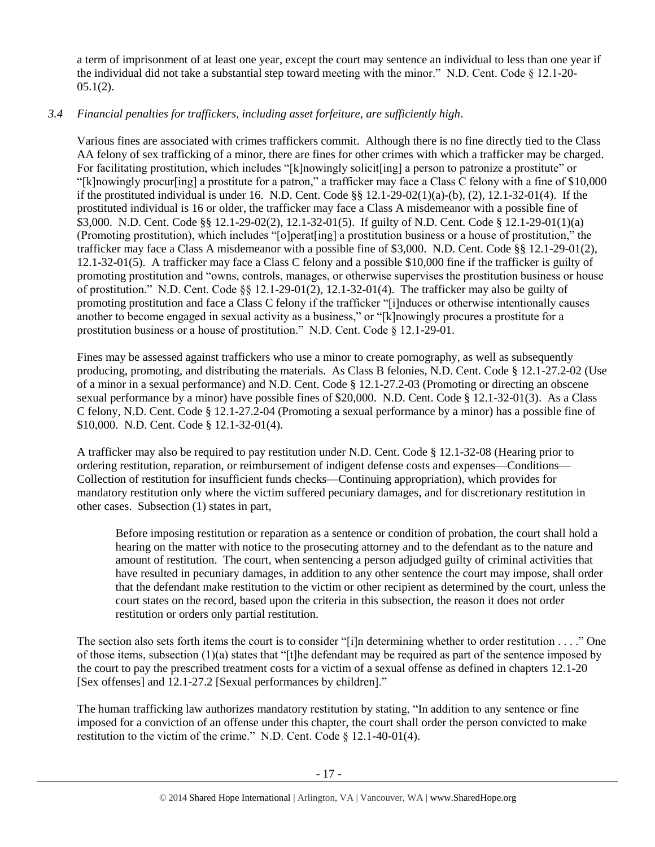a term of imprisonment of at least one year, except the court may sentence an individual to less than one year if the individual did not take a substantial step toward meeting with the minor." N.D. Cent. Code  $\S$  12.1-20- $05.1(2)$ .

# *3.4 Financial penalties for traffickers, including asset forfeiture, are sufficiently high*.

Various fines are associated with crimes traffickers commit. Although there is no fine directly tied to the Class AA felony of sex trafficking of a minor, there are fines for other crimes with which a trafficker may be charged. For facilitating prostitution, which includes "[k]nowingly solicit[ing] a person to patronize a prostitute" or "[k]nowingly procur[ing] a prostitute for a patron," a trafficker may face a Class C felony with a fine of \$10,000 if the prostituted individual is under 16. N.D. Cent. Code  $\S$ § 12.1-29-02(1)(a)-(b), (2), 12.1-32-01(4). If the prostituted individual is 16 or older, the trafficker may face a Class A misdemeanor with a possible fine of \$3,000. N.D. Cent. Code §§ 12.1-29-02(2), 12.1-32-01(5). If guilty of N.D. Cent. Code § 12.1-29-01(1)(a) (Promoting prostitution), which includes "[o]perat[ing] a prostitution business or a house of prostitution," the trafficker may face a Class A misdemeanor with a possible fine of \$3,000. N.D. Cent. Code §§ 12.1-29-01(2), 12.1-32-01(5). A trafficker may face a Class C felony and a possible \$10,000 fine if the trafficker is guilty of promoting prostitution and "owns, controls, manages, or otherwise supervises the prostitution business or house of prostitution." N.D. Cent. Code  $\S$   $\S$  12.1-29-01(2), 12.1-32-01(4). The trafficker may also be guilty of promoting prostitution and face a Class C felony if the trafficker "[i]nduces or otherwise intentionally causes another to become engaged in sexual activity as a business," or "[k]nowingly procures a prostitute for a prostitution business or a house of prostitution." N.D. Cent. Code § 12.1-29-01.

Fines may be assessed against traffickers who use a minor to create pornography, as well as subsequently producing, promoting, and distributing the materials. As Class B felonies, N.D. Cent. Code § 12.1-27.2-02 (Use of a minor in a sexual performance) and N.D. Cent. Code § 12.1-27.2-03 (Promoting or directing an obscene sexual performance by a minor) have possible fines of \$20,000. N.D. Cent. Code § 12.1-32-01(3). As a Class C felony, N.D. Cent. Code § 12.1-27.2-04 (Promoting a sexual performance by a minor) has a possible fine of \$10,000. N.D. Cent. Code § 12.1-32-01(4).

A trafficker may also be required to pay restitution under N.D. Cent. Code § 12.1-32-08 (Hearing prior to ordering restitution, reparation, or reimbursement of indigent defense costs and expenses—Conditions— Collection of restitution for insufficient funds checks—Continuing appropriation), which provides for mandatory restitution only where the victim suffered pecuniary damages, and for discretionary restitution in other cases. Subsection (1) states in part,

Before imposing restitution or reparation as a sentence or condition of probation, the court shall hold a hearing on the matter with notice to the prosecuting attorney and to the defendant as to the nature and amount of restitution. The court, when sentencing a person adjudged guilty of criminal activities that have resulted in pecuniary damages, in addition to any other sentence the court may impose, shall order that the defendant make restitution to the victim or other recipient as determined by the court, unless the court states on the record, based upon the criteria in this subsection, the reason it does not order restitution or orders only partial restitution.

The section also sets forth items the court is to consider "[i]n determining whether to order restitution . . . ." One of those items, subsection  $(1)(a)$  states that "[t]he defendant may be required as part of the sentence imposed by the court to pay the prescribed treatment costs for a victim of a sexual offense as defined in chapters 12.1-20 [Sex offenses] and 12.1-27.2 [Sexual performances by children]."

The human trafficking law authorizes mandatory restitution by stating, "In addition to any sentence or fine imposed for a conviction of an offense under this chapter, the court shall order the person convicted to make restitution to the victim of the crime." N.D. Cent. Code § 12.1-40-01(4).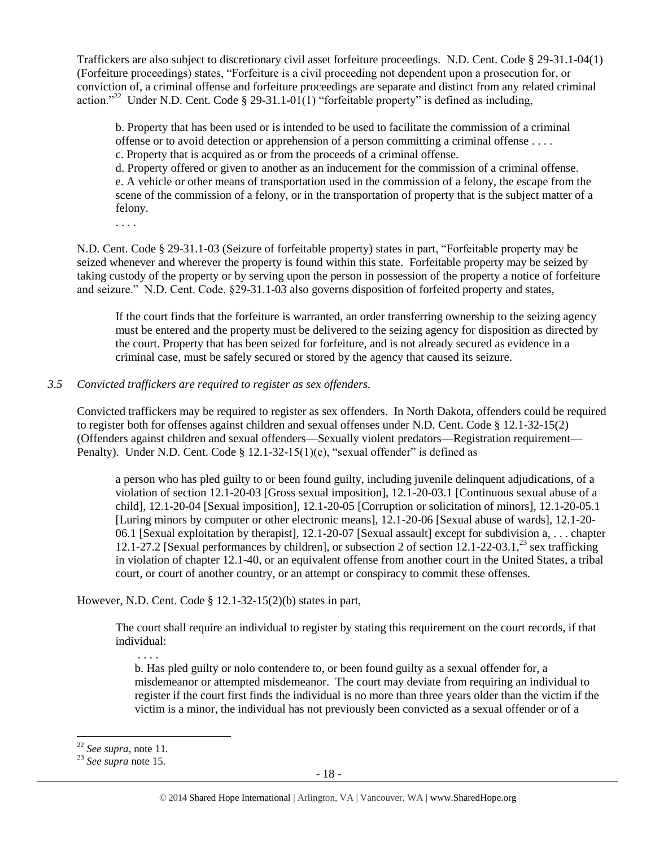Traffickers are also subject to discretionary civil asset forfeiture proceedings. N.D. Cent. Code § 29-31.1-04(1) (Forfeiture proceedings) states, "Forfeiture is a civil proceeding not dependent upon a prosecution for, or conviction of, a criminal offense and forfeiture proceedings are separate and distinct from any related criminal action."<sup>22</sup> Under N.D. Cent. Code § 29-31.1-01(1) "forfeitable property" is defined as including,

b. Property that has been used or is intended to be used to facilitate the commission of a criminal offense or to avoid detection or apprehension of a person committing a criminal offense . . . .

c. Property that is acquired as or from the proceeds of a criminal offense.

d. Property offered or given to another as an inducement for the commission of a criminal offense. e. A vehicle or other means of transportation used in the commission of a felony, the escape from the scene of the commission of a felony, or in the transportation of property that is the subject matter of a felony.

. . . .

N.D. Cent. Code § 29-31.1-03 (Seizure of forfeitable property) states in part, "Forfeitable property may be seized whenever and wherever the property is found within this state. Forfeitable property may be seized by taking custody of the property or by serving upon the person in possession of the property a notice of forfeiture and seizure." N.D. Cent. Code. §29-31.1-03 also governs disposition of forfeited property and states,

If the court finds that the forfeiture is warranted, an order transferring ownership to the seizing agency must be entered and the property must be delivered to the seizing agency for disposition as directed by the court. Property that has been seized for forfeiture, and is not already secured as evidence in a criminal case, must be safely secured or stored by the agency that caused its seizure.

## *3.5 Convicted traffickers are required to register as sex offenders.*

Convicted traffickers may be required to register as sex offenders. In North Dakota, offenders could be required to register both for offenses against children and sexual offenses under N.D. Cent. Code § 12.1-32-15(2) (Offenders against children and sexual offenders—Sexually violent predators—Registration requirement— Penalty). Under N.D. Cent. Code  $\S$  12.1-32-15(1)(e), "sexual offender" is defined as

a person who has pled guilty to or been found guilty, including juvenile delinquent adjudications, of a violation of section 12.1-20-03 [Gross sexual imposition], 12.1-20-03.1 [Continuous sexual abuse of a child], 12.1-20-04 [Sexual imposition], 12.1-20-05 [Corruption or solicitation of minors], 12.1-20-05.1 [Luring minors by computer or other electronic means], 12.1-20-06 [Sexual abuse of wards], 12.1-20- 06.1 [Sexual exploitation by therapist], 12.1-20-07 [Sexual assault] except for subdivision a, . . . chapter 12.1-27.2 [Sexual performances by children], or subsection 2 of section 12.1-22-03.1,<sup>23</sup> sex trafficking in violation of chapter 12.1-40, or an equivalent offense from another court in the United States, a tribal court, or court of another country, or an attempt or conspiracy to commit these offenses.

However, N.D. Cent. Code § 12.1-32-15(2)(b) states in part,

The court shall require an individual to register by stating this requirement on the court records, if that individual:

b. Has pled guilty or nolo contendere to, or been found guilty as a sexual offender for, a misdemeanor or attempted misdemeanor. The court may deviate from requiring an individual to register if the court first finds the individual is no more than three years older than the victim if the victim is a minor, the individual has not previously been convicted as a sexual offender or of a

. . . .

 $\overline{\phantom{a}}$ 

<sup>22</sup> *See supra*, note [11](#page-10-0)*.*

<sup>23</sup> *See supra* note [15.](#page-12-0)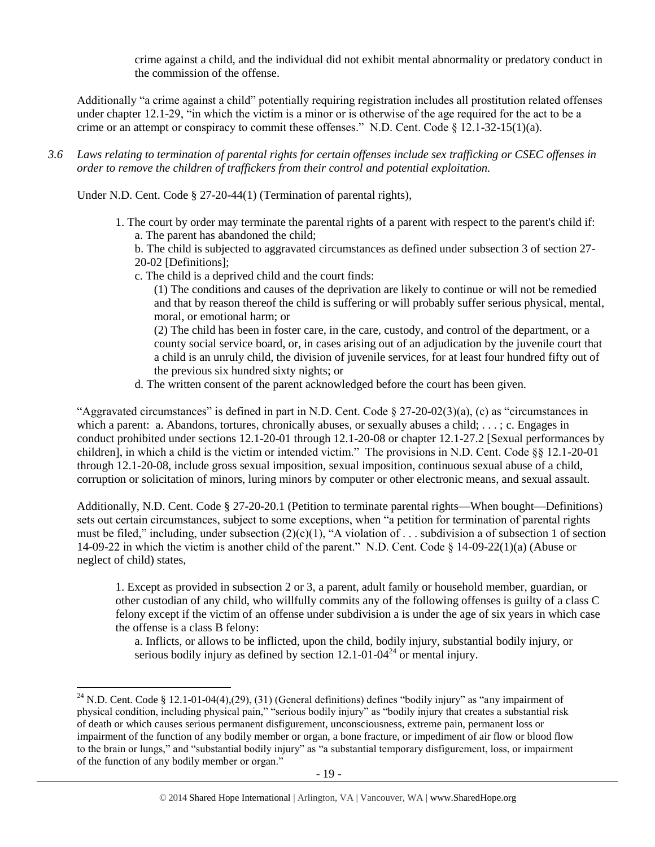crime against a child, and the individual did not exhibit mental abnormality or predatory conduct in the commission of the offense.

Additionally "a crime against a child" potentially requiring registration includes all prostitution related offenses under chapter 12.1-29, "in which the victim is a minor or is otherwise of the age required for the act to be a crime or an attempt or conspiracy to commit these offenses." N.D. Cent. Code  $\S 12.1-32-15(1)(a)$ .

*3.6 Laws relating to termination of parental rights for certain offenses include sex trafficking or CSEC offenses in order to remove the children of traffickers from their control and potential exploitation.* 

Under N.D. Cent. Code § 27-20-44(1) (Termination of parental rights),

1. The court by order may terminate the parental rights of a parent with respect to the parent's child if: a. The parent has abandoned the child;

b. The child is subjected to aggravated circumstances as defined under subsection 3 of section 27- 20-02 [Definitions];

c. The child is a deprived child and the court finds:

(1) The conditions and causes of the deprivation are likely to continue or will not be remedied and that by reason thereof the child is suffering or will probably suffer serious physical, mental, moral, or emotional harm; or

(2) The child has been in foster care, in the care, custody, and control of the department, or a county social service board, or, in cases arising out of an adjudication by the juvenile court that a child is an unruly child, the division of juvenile services, for at least four hundred fifty out of the previous six hundred sixty nights; or

d. The written consent of the parent acknowledged before the court has been given.

"Aggravated circumstances" is defined in part in N.D. Cent. Code  $\S 27-20-02(3)(a)$ , (c) as "circumstances in which a parent: a. Abandons, tortures, chronically abuses, or sexually abuses a child; . . . ; c. Engages in conduct prohibited under sections 12.1-20-01 through 12.1-20-08 or chapter 12.1-27.2 [Sexual performances by children], in which a child is the victim or intended victim." The provisions in N.D. Cent. Code §§ 12.1-20-01 through 12.1-20-08, include gross sexual imposition, sexual imposition, continuous sexual abuse of a child, corruption or solicitation of minors, luring minors by computer or other electronic means, and sexual assault.

Additionally, N.D. Cent. Code § 27-20-20.1 (Petition to terminate parental rights—When bought—Definitions) sets out certain circumstances, subject to some exceptions, when "a petition for termination of parental rights must be filed," including, under subsection  $(2)(c)(1)$ , "A violation of ... subdivision a of subsection 1 of section 14-09-22 in which the victim is another child of the parent." N.D. Cent. Code § 14-09-22(1)(a) (Abuse or neglect of child) states,

1. Except as provided in subsection 2 or 3, a parent, adult family or household member, guardian, or other custodian of any child, who willfully commits any of the following offenses is guilty of a class C felony except if the victim of an offense under subdivision a is under the age of six years in which case the offense is a class B felony:

a. Inflicts, or allows to be inflicted, upon the child, bodily injury, substantial bodily injury, or serious bodily injury as defined by section  $12.1$ -01-04<sup>24</sup> or mental injury.

l

<sup>&</sup>lt;sup>24</sup> N.D. Cent. Code § 12.1-01-04(4),(29), (31) (General definitions) defines "bodily injury" as "any impairment of physical condition, including physical pain," "serious bodily injury" as "bodily injury that creates a substantial risk of death or which causes serious permanent disfigurement, unconsciousness, extreme pain, permanent loss or impairment of the function of any bodily member or organ, a bone fracture, or impediment of air flow or blood flow to the brain or lungs," and "substantial bodily injury" as "a substantial temporary disfigurement, loss, or impairment of the function of any bodily member or organ."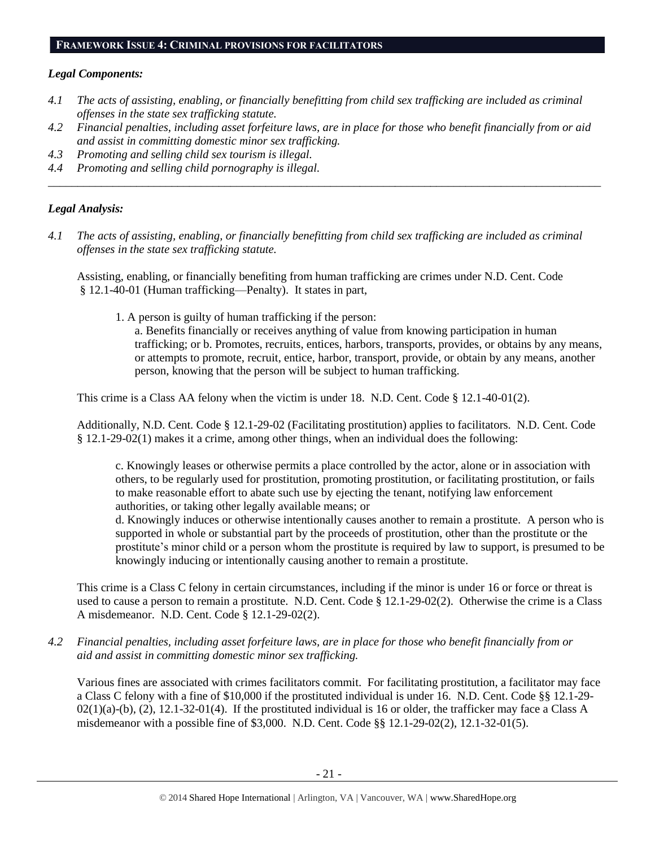## **FRAMEWORK ISSUE 4: CRIMINAL PROVISIONS FOR FACILITATORS**

# *Legal Components:*

- *4.1 The acts of assisting, enabling, or financially benefitting from child sex trafficking are included as criminal offenses in the state sex trafficking statute.*
- *4.2 Financial penalties, including asset forfeiture laws, are in place for those who benefit financially from or aid and assist in committing domestic minor sex trafficking.*

*\_\_\_\_\_\_\_\_\_\_\_\_\_\_\_\_\_\_\_\_\_\_\_\_\_\_\_\_\_\_\_\_\_\_\_\_\_\_\_\_\_\_\_\_\_\_\_\_\_\_\_\_\_\_\_\_\_\_\_\_\_\_\_\_\_\_\_\_\_\_\_\_\_\_\_\_\_\_\_\_\_\_\_\_\_\_\_\_\_\_\_\_\_\_*

- *4.3 Promoting and selling child sex tourism is illegal.*
- *4.4 Promoting and selling child pornography is illegal.*

# *Legal Analysis:*

*4.1 The acts of assisting, enabling, or financially benefitting from child sex trafficking are included as criminal offenses in the state sex trafficking statute.*

Assisting, enabling, or financially benefiting from human trafficking are crimes under N.D. Cent. Code § 12.1-40-01 (Human trafficking—Penalty). It states in part,

1. A person is guilty of human trafficking if the person:

a. Benefits financially or receives anything of value from knowing participation in human trafficking; or b. Promotes, recruits, entices, harbors, transports, provides, or obtains by any means, or attempts to promote, recruit, entice, harbor, transport, provide, or obtain by any means, another person, knowing that the person will be subject to human trafficking.

This crime is a Class AA felony when the victim is under 18. N.D. Cent. Code § 12.1-40-01(2).

Additionally, N.D. Cent. Code § 12.1-29-02 (Facilitating prostitution) applies to facilitators. N.D. Cent. Code § 12.1-29-02(1) makes it a crime, among other things, when an individual does the following:

c. Knowingly leases or otherwise permits a place controlled by the actor, alone or in association with others, to be regularly used for prostitution, promoting prostitution, or facilitating prostitution, or fails to make reasonable effort to abate such use by ejecting the tenant, notifying law enforcement authorities, or taking other legally available means; or

d. Knowingly induces or otherwise intentionally causes another to remain a prostitute. A person who is supported in whole or substantial part by the proceeds of prostitution, other than the prostitute or the prostitute's minor child or a person whom the prostitute is required by law to support, is presumed to be knowingly inducing or intentionally causing another to remain a prostitute.

This crime is a Class C felony in certain circumstances, including if the minor is under 16 or force or threat is used to cause a person to remain a prostitute. N.D. Cent. Code § 12.1-29-02(2). Otherwise the crime is a Class A misdemeanor. N.D. Cent. Code § 12.1-29-02(2).

*4.2 Financial penalties, including asset forfeiture laws, are in place for those who benefit financially from or aid and assist in committing domestic minor sex trafficking.*

Various fines are associated with crimes facilitators commit. For facilitating prostitution, a facilitator may face a Class C felony with a fine of \$10,000 if the prostituted individual is under 16. N.D. Cent. Code §§ 12.1-29-  $02(1)(a)-(b)$ ,  $(2)$ ,  $12.1-32-01(4)$ . If the prostituted individual is 16 or older, the trafficker may face a Class A misdemeanor with a possible fine of \$3,000. N.D. Cent. Code §§ 12.1-29-02(2), 12.1-32-01(5).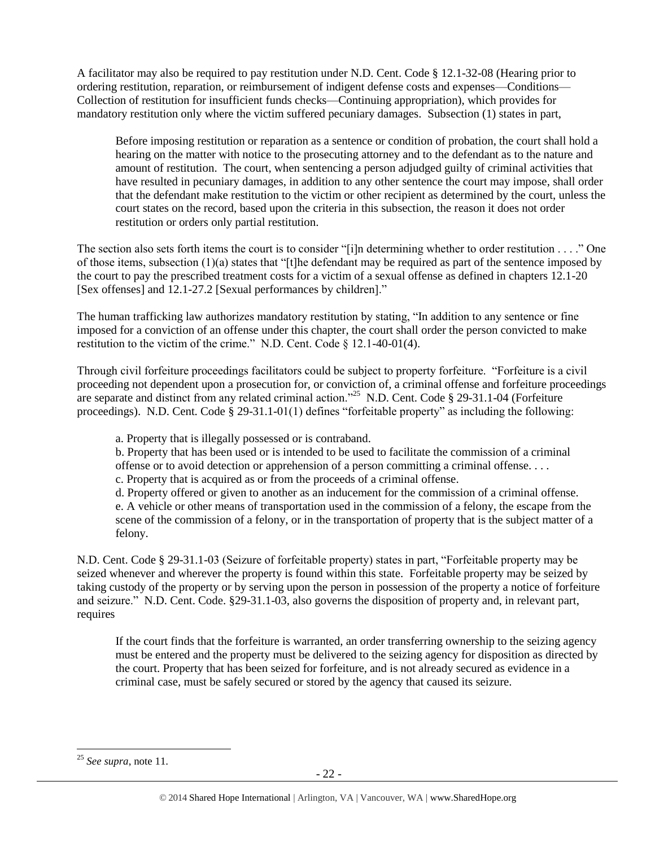A facilitator may also be required to pay restitution under N.D. Cent. Code § 12.1-32-08 (Hearing prior to ordering restitution, reparation, or reimbursement of indigent defense costs and expenses—Conditions— Collection of restitution for insufficient funds checks—Continuing appropriation), which provides for mandatory restitution only where the victim suffered pecuniary damages. Subsection (1) states in part,

Before imposing restitution or reparation as a sentence or condition of probation, the court shall hold a hearing on the matter with notice to the prosecuting attorney and to the defendant as to the nature and amount of restitution. The court, when sentencing a person adjudged guilty of criminal activities that have resulted in pecuniary damages, in addition to any other sentence the court may impose, shall order that the defendant make restitution to the victim or other recipient as determined by the court, unless the court states on the record, based upon the criteria in this subsection, the reason it does not order restitution or orders only partial restitution.

The section also sets forth items the court is to consider "[i]n determining whether to order restitution . . . ." One of those items, subsection  $(1)(a)$  states that "[t]he defendant may be required as part of the sentence imposed by the court to pay the prescribed treatment costs for a victim of a sexual offense as defined in chapters 12.1-20 [Sex offenses] and 12.1-27.2 [Sexual performances by children]."

The human trafficking law authorizes mandatory restitution by stating, "In addition to any sentence or fine imposed for a conviction of an offense under this chapter, the court shall order the person convicted to make restitution to the victim of the crime." N.D. Cent. Code § 12.1-40-01(4).

Through civil forfeiture proceedings facilitators could be subject to property forfeiture. "Forfeiture is a civil proceeding not dependent upon a prosecution for, or conviction of, a criminal offense and forfeiture proceedings are separate and distinct from any related criminal action."<sup>25</sup> N.D. Cent. Code § 29-31.1-04 (Forfeiture proceedings). N.D. Cent. Code § 29-31.1-01(1) defines "forfeitable property" as including the following:

a. Property that is illegally possessed or is contraband.

b. Property that has been used or is intended to be used to facilitate the commission of a criminal offense or to avoid detection or apprehension of a person committing a criminal offense. . . .

c. Property that is acquired as or from the proceeds of a criminal offense.

d. Property offered or given to another as an inducement for the commission of a criminal offense. e. A vehicle or other means of transportation used in the commission of a felony, the escape from the scene of the commission of a felony, or in the transportation of property that is the subject matter of a felony.

N.D. Cent. Code § 29-31.1-03 (Seizure of forfeitable property) states in part, "Forfeitable property may be seized whenever and wherever the property is found within this state. Forfeitable property may be seized by taking custody of the property or by serving upon the person in possession of the property a notice of forfeiture and seizure." N.D. Cent. Code. §29-31.1-03, also governs the disposition of property and, in relevant part, requires

If the court finds that the forfeiture is warranted, an order transferring ownership to the seizing agency must be entered and the property must be delivered to the seizing agency for disposition as directed by the court. Property that has been seized for forfeiture, and is not already secured as evidence in a criminal case, must be safely secured or stored by the agency that caused its seizure.

 $\overline{\phantom{a}}$ <sup>25</sup> *See supra*, note [11.](#page-10-0)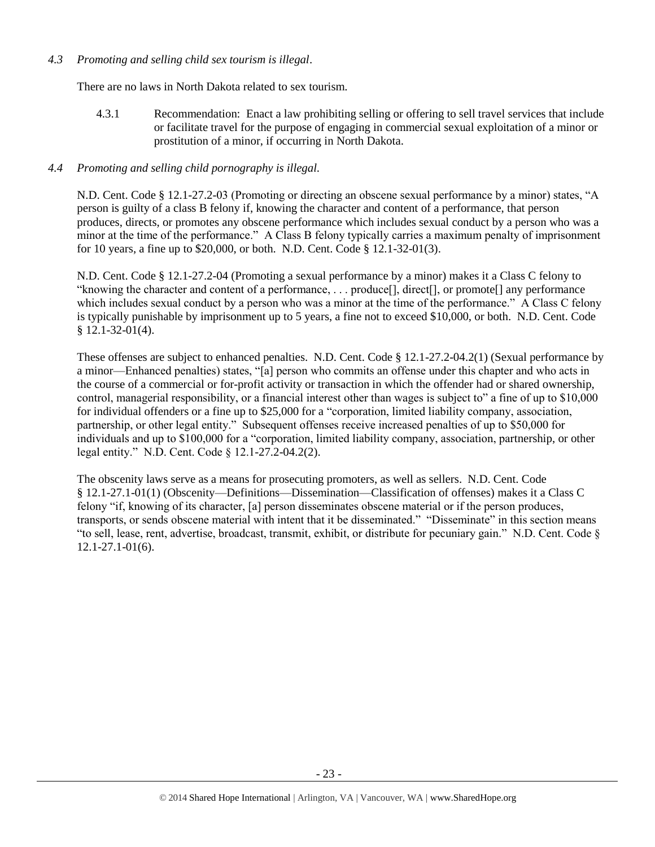#### *4.3 Promoting and selling child sex tourism is illegal*.

There are no laws in North Dakota related to sex tourism.

4.3.1 Recommendation: Enact a law prohibiting selling or offering to sell travel services that include or facilitate travel for the purpose of engaging in commercial sexual exploitation of a minor or prostitution of a minor, if occurring in North Dakota.

## *4.4 Promoting and selling child pornography is illegal.*

N.D. Cent. Code § 12.1-27.2-03 (Promoting or directing an obscene sexual performance by a minor) states, "A person is guilty of a class B felony if, knowing the character and content of a performance, that person produces, directs, or promotes any obscene performance which includes sexual conduct by a person who was a minor at the time of the performance." A Class B felony typically carries a maximum penalty of imprisonment for 10 years, a fine up to \$20,000, or both. N.D. Cent. Code § 12.1-32-01(3).

N.D. Cent. Code § 12.1-27.2-04 (Promoting a sexual performance by a minor) makes it a Class C felony to "knowing the character and content of a performance, . . . produce[], direct[], or promote[] any performance which includes sexual conduct by a person who was a minor at the time of the performance." A Class C felony is typically punishable by imprisonment up to 5 years, a fine not to exceed \$10,000, or both. N.D. Cent. Code § 12.1-32-01(4).

These offenses are subject to enhanced penalties. N.D. Cent. Code § 12.1-27.2-04.2(1) (Sexual performance by a minor—Enhanced penalties) states, "[a] person who commits an offense under this chapter and who acts in the course of a commercial or for-profit activity or transaction in which the offender had or shared ownership, control, managerial responsibility, or a financial interest other than wages is subject to" a fine of up to \$10,000 for individual offenders or a fine up to \$25,000 for a "corporation, limited liability company, association, partnership, or other legal entity." Subsequent offenses receive increased penalties of up to \$50,000 for individuals and up to \$100,000 for a "corporation, limited liability company, association, partnership, or other legal entity." N.D. Cent. Code § 12.1-27.2-04.2(2).

The obscenity laws serve as a means for prosecuting promoters, as well as sellers. N.D. Cent. Code § 12.1-27.1-01(1) (Obscenity—Definitions—Dissemination—Classification of offenses) makes it a Class C felony "if, knowing of its character, [a] person disseminates obscene material or if the person produces, transports, or sends obscene material with intent that it be disseminated." "Disseminate" in this section means "to sell, lease, rent, advertise, broadcast, transmit, exhibit, or distribute for pecuniary gain." N.D. Cent. Code § 12.1-27.1-01(6).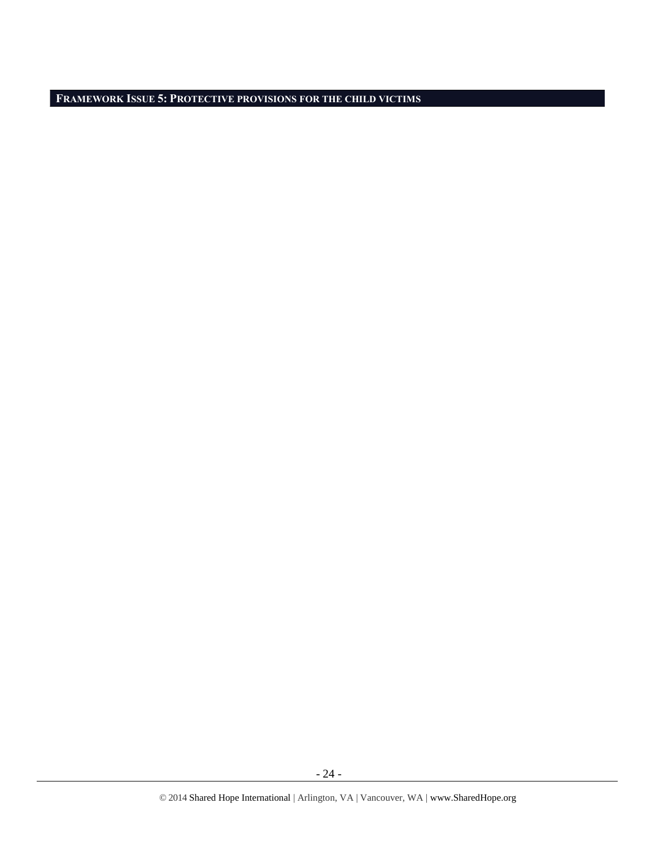**FRAMEWORK ISSUE 5: PROTECTIVE PROVISIONS FOR THE CHILD VICTIMS**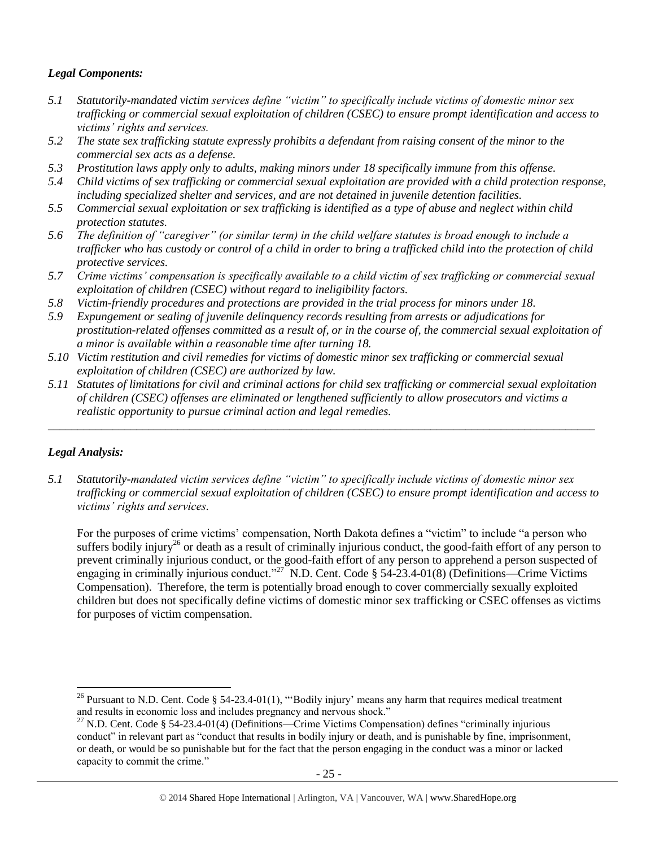# *Legal Components:*

- *5.1 Statutorily-mandated victim services define "victim" to specifically include victims of domestic minor sex trafficking or commercial sexual exploitation of children (CSEC) to ensure prompt identification and access to victims' rights and services.*
- *5.2 The state sex trafficking statute expressly prohibits a defendant from raising consent of the minor to the commercial sex acts as a defense.*
- *5.3 Prostitution laws apply only to adults, making minors under 18 specifically immune from this offense.*
- *5.4 Child victims of sex trafficking or commercial sexual exploitation are provided with a child protection response, including specialized shelter and services, and are not detained in juvenile detention facilities.*
- *5.5 Commercial sexual exploitation or sex trafficking is identified as a type of abuse and neglect within child protection statutes.*
- *5.6 The definition of "caregiver" (or similar term) in the child welfare statutes is broad enough to include a trafficker who has custody or control of a child in order to bring a trafficked child into the protection of child protective services.*
- *5.7 Crime victims' compensation is specifically available to a child victim of sex trafficking or commercial sexual exploitation of children (CSEC) without regard to ineligibility factors.*
- *5.8 Victim-friendly procedures and protections are provided in the trial process for minors under 18.*
- *5.9 Expungement or sealing of juvenile delinquency records resulting from arrests or adjudications for prostitution-related offenses committed as a result of, or in the course of, the commercial sexual exploitation of a minor is available within a reasonable time after turning 18.*
- *5.10 Victim restitution and civil remedies for victims of domestic minor sex trafficking or commercial sexual exploitation of children (CSEC) are authorized by law.*
- *5.11 Statutes of limitations for civil and criminal actions for child sex trafficking or commercial sexual exploitation of children (CSEC) offenses are eliminated or lengthened sufficiently to allow prosecutors and victims a realistic opportunity to pursue criminal action and legal remedies.*

*\_\_\_\_\_\_\_\_\_\_\_\_\_\_\_\_\_\_\_\_\_\_\_\_\_\_\_\_\_\_\_\_\_\_\_\_\_\_\_\_\_\_\_\_\_\_\_\_\_\_\_\_\_\_\_\_\_\_\_\_\_\_\_\_\_\_\_\_\_\_\_\_\_\_\_\_\_\_\_\_\_\_\_\_\_\_\_\_\_\_\_\_\_*

# *Legal Analysis:*

l

*5.1 Statutorily-mandated victim services define "victim" to specifically include victims of domestic minor sex trafficking or commercial sexual exploitation of children (CSEC) to ensure prompt identification and access to victims' rights and services.*

For the purposes of crime victims' compensation, North Dakota defines a "victim" to include "a person who suffers bodily injury<sup>26</sup> or death as a result of criminally injurious conduct, the good-faith effort of any person to prevent criminally injurious conduct, or the good-faith effort of any person to apprehend a person suspected of engaging in criminally injurious conduct."<sup>27</sup> N.D. Cent. Code § 54-23.4-01(8) (Definitions—Crime Victims Compensation). Therefore, the term is potentially broad enough to cover commercially sexually exploited children but does not specifically define victims of domestic minor sex trafficking or CSEC offenses as victims for purposes of victim compensation.

<sup>&</sup>lt;sup>26</sup> Pursuant to N.D. Cent. Code § 54-23.4-01(1), "Bodily injury' means any harm that requires medical treatment and results in economic loss and includes pregnancy and nervous shock."

<sup>&</sup>lt;sup>27</sup> N.D. Cent. Code § 54-23.4-01(4) (Definitions—Crime Victims Compensation) defines "criminally injurious conduct" in relevant part as "conduct that results in bodily injury or death, and is punishable by fine, imprisonment, or death, or would be so punishable but for the fact that the person engaging in the conduct was a minor or lacked capacity to commit the crime."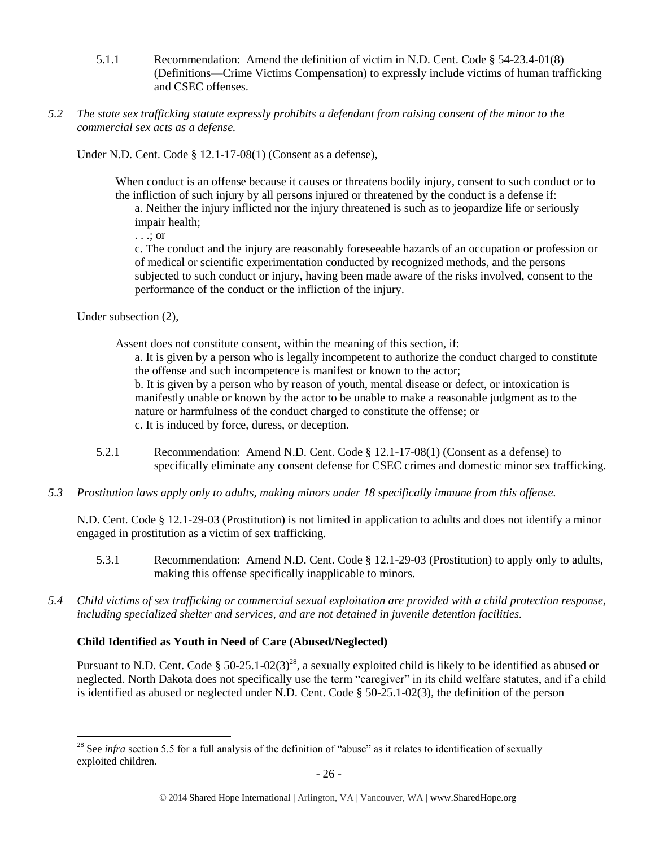- 5.1.1 Recommendation: Amend the definition of victim in N.D. Cent. Code § 54-23.4-01(8) (Definitions—Crime Victims Compensation) to expressly include victims of human trafficking and CSEC offenses.
- *5.2 The state sex trafficking statute expressly prohibits a defendant from raising consent of the minor to the commercial sex acts as a defense.*

Under N.D. Cent. Code § 12.1-17-08(1) (Consent as a defense),

When conduct is an offense because it causes or threatens bodily injury, consent to such conduct or to the infliction of such injury by all persons injured or threatened by the conduct is a defense if:

a. Neither the injury inflicted nor the injury threatened is such as to jeopardize life or seriously impair health;

. . .; or

c. The conduct and the injury are reasonably foreseeable hazards of an occupation or profession or of medical or scientific experimentation conducted by recognized methods, and the persons subjected to such conduct or injury, having been made aware of the risks involved, consent to the performance of the conduct or the infliction of the injury.

Under subsection (2),

 $\overline{\phantom{a}}$ 

Assent does not constitute consent, within the meaning of this section, if:

a. It is given by a person who is legally incompetent to authorize the conduct charged to constitute the offense and such incompetence is manifest or known to the actor;

b. It is given by a person who by reason of youth, mental disease or defect, or intoxication is manifestly unable or known by the actor to be unable to make a reasonable judgment as to the nature or harmfulness of the conduct charged to constitute the offense; or c. It is induced by force, duress, or deception.

- 5.2.1 Recommendation: Amend N.D. Cent. Code § 12.1-17-08(1) (Consent as a defense) to specifically eliminate any consent defense for CSEC crimes and domestic minor sex trafficking.
- *5.3 Prostitution laws apply only to adults, making minors under 18 specifically immune from this offense.*

N.D. Cent. Code § 12.1-29-03 (Prostitution) is not limited in application to adults and does not identify a minor engaged in prostitution as a victim of sex trafficking.

- 5.3.1 Recommendation: Amend N.D. Cent. Code § 12.1-29-03 (Prostitution) to apply only to adults, making this offense specifically inapplicable to minors.
- *5.4 Child victims of sex trafficking or commercial sexual exploitation are provided with a child protection response, including specialized shelter and services, and are not detained in juvenile detention facilities.*

#### **Child Identified as Youth in Need of Care (Abused/Neglected)**

Pursuant to N.D. Cent. Code § 50-25.1-02(3)<sup>28</sup>, a sexually exploited child is likely to be identified as abused or neglected. North Dakota does not specifically use the term "caregiver" in its child welfare statutes, and if a child is identified as abused or neglected under N.D. Cent. Code § 50-25.1-02(3), the definition of the person

<sup>&</sup>lt;sup>28</sup> See *infra* section 5.5 for a full analysis of the definition of "abuse" as it relates to identification of sexually exploited children.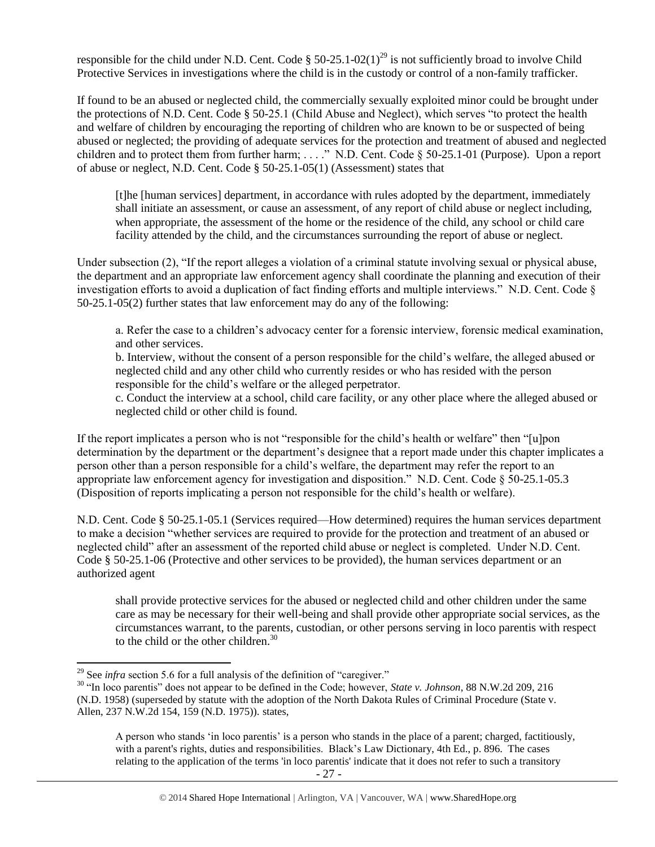responsible for the child under N.D. Cent. Code  $\S 50-25.1-02(1)^{29}$  is not sufficiently broad to involve Child Protective Services in investigations where the child is in the custody or control of a non-family trafficker.

If found to be an abused or neglected child, the commercially sexually exploited minor could be brought under the protections of N.D. Cent. Code § 50-25.1 (Child Abuse and Neglect), which serves "to protect the health and welfare of children by encouraging the reporting of children who are known to be or suspected of being abused or neglected; the providing of adequate services for the protection and treatment of abused and neglected children and to protect them from further harm; . . . ." N.D. Cent. Code § 50-25.1-01 (Purpose). Upon a report of abuse or neglect, N.D. Cent. Code § 50-25.1-05(1) (Assessment) states that

[t]he [human services] department, in accordance with rules adopted by the department, immediately shall initiate an assessment, or cause an assessment, of any report of child abuse or neglect including, when appropriate, the assessment of the home or the residence of the child, any school or child care facility attended by the child, and the circumstances surrounding the report of abuse or neglect.

Under subsection (2), "If the report alleges a violation of a criminal statute involving sexual or physical abuse, the department and an appropriate law enforcement agency shall coordinate the planning and execution of their investigation efforts to avoid a duplication of fact finding efforts and multiple interviews." N.D. Cent. Code § 50-25.1-05(2) further states that law enforcement may do any of the following:

a. Refer the case to a children's advocacy center for a forensic interview, forensic medical examination, and other services.

b. Interview, without the consent of a person responsible for the child's welfare, the alleged abused or neglected child and any other child who currently resides or who has resided with the person responsible for the child's welfare or the alleged perpetrator.

c. Conduct the interview at a school, child care facility, or any other place where the alleged abused or neglected child or other child is found.

If the report implicates a person who is not "responsible for the child's health or welfare" then "[u]pon determination by the department or the department's designee that a report made under this chapter implicates a person other than a person responsible for a child's welfare, the department may refer the report to an appropriate law enforcement agency for investigation and disposition." N.D. Cent. Code § 50-25.1-05.3 (Disposition of reports implicating a person not responsible for the child's health or welfare).

N.D. Cent. Code § 50-25.1-05.1 (Services required—How determined) requires the human services department to make a decision "whether services are required to provide for the protection and treatment of an abused or neglected child" after an assessment of the reported child abuse or neglect is completed. Under N.D. Cent. Code § 50-25.1-06 (Protective and other services to be provided), the human services department or an authorized agent

shall provide protective services for the abused or neglected child and other children under the same care as may be necessary for their well-being and shall provide other appropriate social services, as the circumstances warrant, to the parents, custodian, or other persons serving in loco parentis with respect to the child or the other children. $30$ 

 $\overline{\phantom{a}}$ 

<sup>&</sup>lt;sup>29</sup> See *infra* section 5.6 for a full analysis of the definition of "caregiver."

<sup>30</sup> "In loco parentis" does not appear to be defined in the Code; however, *State v. Johnson*, 88 N.W.2d 209, 216 (N.D. 1958) (superseded by statute with the adoption of the North Dakota Rules of Criminal Procedure (State v. Allen, 237 N.W.2d 154, 159 (N.D. 1975)). states,

A person who stands 'in loco parentis' is a person who stands in the place of a parent; charged, factitiously, with a parent's rights, duties and responsibilities. Black's Law Dictionary, 4th Ed., p. 896. The cases relating to the application of the terms 'in loco parentis' indicate that it does not refer to such a transitory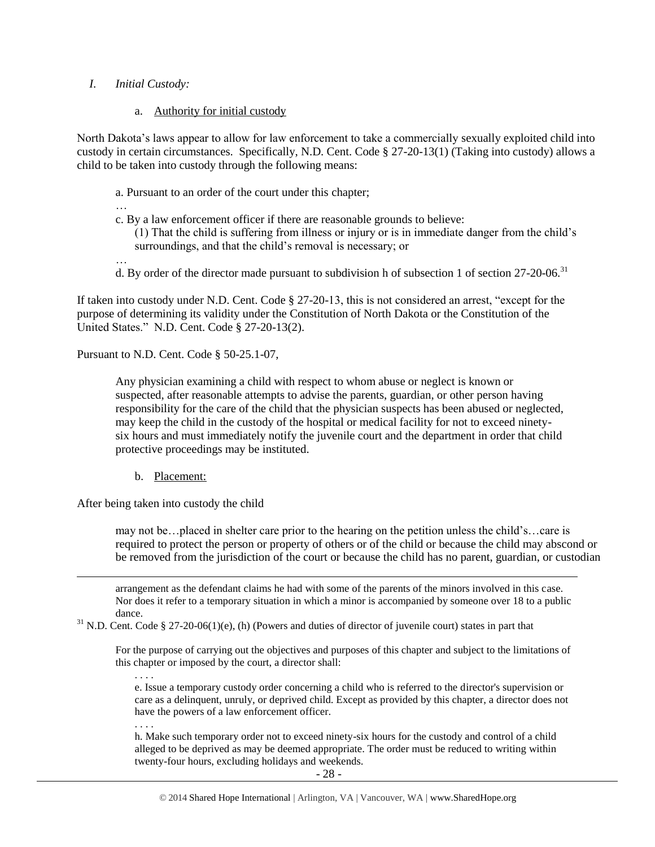#### *I. Initial Custody:*

#### a. Authority for initial custody

North Dakota's laws appear to allow for law enforcement to take a commercially sexually exploited child into custody in certain circumstances. Specifically, N.D. Cent. Code § 27-20-13(1) (Taking into custody) allows a child to be taken into custody through the following means:

- a. Pursuant to an order of the court under this chapter;
- …
- c. By a law enforcement officer if there are reasonable grounds to believe:

(1) That the child is suffering from illness or injury or is in immediate danger from the child's surroundings, and that the child's removal is necessary; or

- …
- d. By order of the director made pursuant to subdivision h of subsection 1 of section 27-20-06.<sup>31</sup>

If taken into custody under N.D. Cent. Code § 27-20-13, this is not considered an arrest, "except for the purpose of determining its validity under the Constitution of North Dakota or the Constitution of the United States." N.D. Cent. Code § 27-20-13(2).

Pursuant to N.D. Cent. Code § 50-25.1-07,

Any physician examining a child with respect to whom abuse or neglect is known or suspected, after reasonable attempts to advise the parents, guardian, or other person having responsibility for the care of the child that the physician suspects has been abused or neglected, may keep the child in the custody of the hospital or medical facility for not to exceed ninetysix hours and must immediately notify the juvenile court and the department in order that child protective proceedings may be instituted.

b. Placement:

After being taken into custody the child

may not be…placed in shelter care prior to the hearing on the petition unless the child's…care is required to protect the person or property of others or of the child or because the child may abscond or be removed from the jurisdiction of the court or because the child has no parent, guardian, or custodian

arrangement as the defendant claims he had with some of the parents of the minors involved in this case. Nor does it refer to a temporary situation in which a minor is accompanied by someone over 18 to a public dance.

 $31$  N.D. Cent. Code § 27-20-06(1)(e), (h) (Powers and duties of director of juvenile court) states in part that

For the purpose of carrying out the objectives and purposes of this chapter and subject to the limitations of this chapter or imposed by the court, a director shall:

e. Issue a temporary custody order concerning a child who is referred to the director's supervision or care as a delinquent, unruly, or deprived child. Except as provided by this chapter, a director does not have the powers of a law enforcement officer.

. . . .

. . . .

 $\overline{a}$ 

h. Make such temporary order not to exceed ninety-six hours for the custody and control of a child alleged to be deprived as may be deemed appropriate. The order must be reduced to writing within twenty-four hours, excluding holidays and weekends.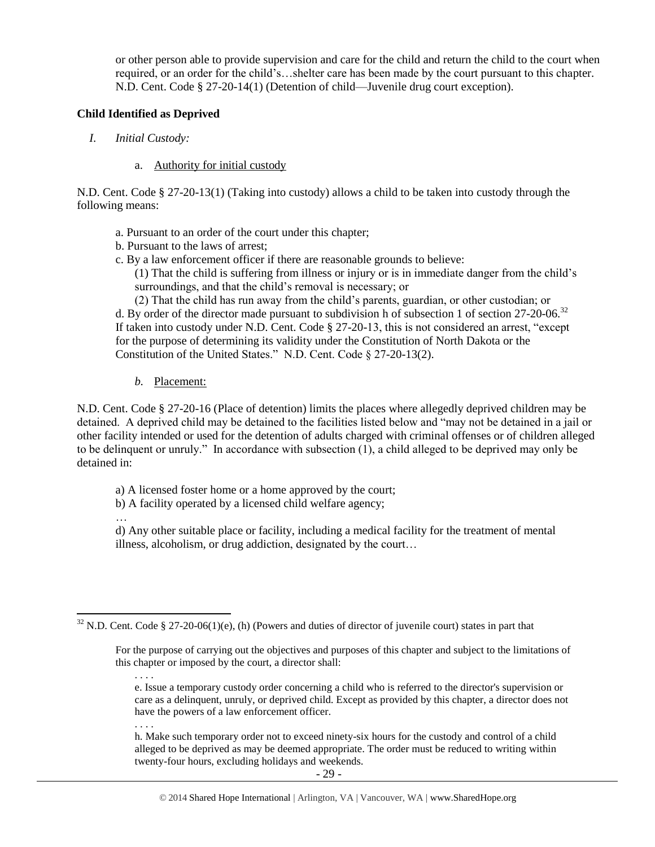or other person able to provide supervision and care for the child and return the child to the court when required, or an order for the child's…shelter care has been made by the court pursuant to this chapter. N.D. Cent. Code § 27-20-14(1) (Detention of child—Juvenile drug court exception).

#### **Child Identified as Deprived**

- *I. Initial Custody:* 
	- a. Authority for initial custody

N.D. Cent. Code § 27-20-13(1) (Taking into custody) allows a child to be taken into custody through the following means:

- a. Pursuant to an order of the court under this chapter;
- b. Pursuant to the laws of arrest;
- c. By a law enforcement officer if there are reasonable grounds to believe:

(1) That the child is suffering from illness or injury or is in immediate danger from the child's surroundings, and that the child's removal is necessary; or

(2) That the child has run away from the child's parents, guardian, or other custodian; or d. By order of the director made pursuant to subdivision h of subsection 1 of section 27-20-06.<sup>32</sup> If taken into custody under N.D. Cent. Code § 27-20-13, this is not considered an arrest, "except for the purpose of determining its validity under the Constitution of North Dakota or the Constitution of the United States." N.D. Cent. Code § 27-20-13(2).

*b.* Placement:

N.D. Cent. Code § 27-20-16 (Place of detention) limits the places where allegedly deprived children may be detained. A deprived child may be detained to the facilities listed below and "may not be detained in a jail or other facility intended or used for the detention of adults charged with criminal offenses or of children alleged to be delinquent or unruly." In accordance with subsection (1), a child alleged to be deprived may only be detained in:

a) A licensed foster home or a home approved by the court;

b) A facility operated by a licensed child welfare agency;

… d) Any other suitable place or facility, including a medical facility for the treatment of mental illness, alcoholism, or drug addiction, designated by the court…

. . . .

. . . .

h. Make such temporary order not to exceed ninety-six hours for the custody and control of a child alleged to be deprived as may be deemed appropriate. The order must be reduced to writing within twenty-four hours, excluding holidays and weekends.

 $\overline{a}$  $32$  N.D. Cent. Code § 27-20-06(1)(e), (h) (Powers and duties of director of juvenile court) states in part that

For the purpose of carrying out the objectives and purposes of this chapter and subject to the limitations of this chapter or imposed by the court, a director shall:

e. Issue a temporary custody order concerning a child who is referred to the director's supervision or care as a delinquent, unruly, or deprived child. Except as provided by this chapter, a director does not have the powers of a law enforcement officer.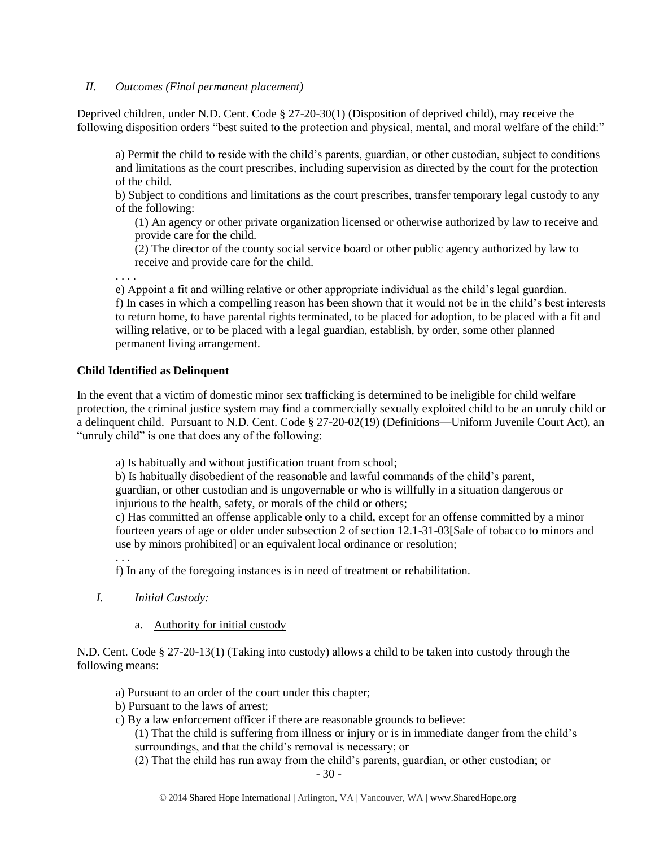#### *II. Outcomes (Final permanent placement)*

Deprived children, under N.D. Cent. Code § 27-20-30(1) (Disposition of deprived child), may receive the following disposition orders "best suited to the protection and physical, mental, and moral welfare of the child:"

a) Permit the child to reside with the child's parents, guardian, or other custodian, subject to conditions and limitations as the court prescribes, including supervision as directed by the court for the protection of the child.

b) Subject to conditions and limitations as the court prescribes, transfer temporary legal custody to any of the following:

(1) An agency or other private organization licensed or otherwise authorized by law to receive and provide care for the child.

(2) The director of the county social service board or other public agency authorized by law to receive and provide care for the child.

. . . .

e) Appoint a fit and willing relative or other appropriate individual as the child's legal guardian. f) In cases in which a compelling reason has been shown that it would not be in the child's best interests to return home, to have parental rights terminated, to be placed for adoption, to be placed with a fit and willing relative, or to be placed with a legal guardian, establish, by order, some other planned permanent living arrangement.

## **Child Identified as Delinquent**

In the event that a victim of domestic minor sex trafficking is determined to be ineligible for child welfare protection, the criminal justice system may find a commercially sexually exploited child to be an unruly child or a delinquent child. Pursuant to N.D. Cent. Code § 27-20-02(19) (Definitions—Uniform Juvenile Court Act), an "unruly child" is one that does any of the following:

a) Is habitually and without justification truant from school;

b) Is habitually disobedient of the reasonable and lawful commands of the child's parent, guardian, or other custodian and is ungovernable or who is willfully in a situation dangerous or injurious to the health, safety, or morals of the child or others;

c) Has committed an offense applicable only to a child, except for an offense committed by a minor fourteen years of age or older under subsection 2 of section 12.1-31-03[Sale of tobacco to minors and use by minors prohibited] or an equivalent local ordinance or resolution;

. . .

f) In any of the foregoing instances is in need of treatment or rehabilitation.

- *I. Initial Custody:* 
	- a. Authority for initial custody

N.D. Cent. Code § 27-20-13(1) (Taking into custody) allows a child to be taken into custody through the following means:

- a) Pursuant to an order of the court under this chapter;
- b) Pursuant to the laws of arrest;
- c) By a law enforcement officer if there are reasonable grounds to believe:

(1) That the child is suffering from illness or injury or is in immediate danger from the child's surroundings, and that the child's removal is necessary; or

(2) That the child has run away from the child's parents, guardian, or other custodian; or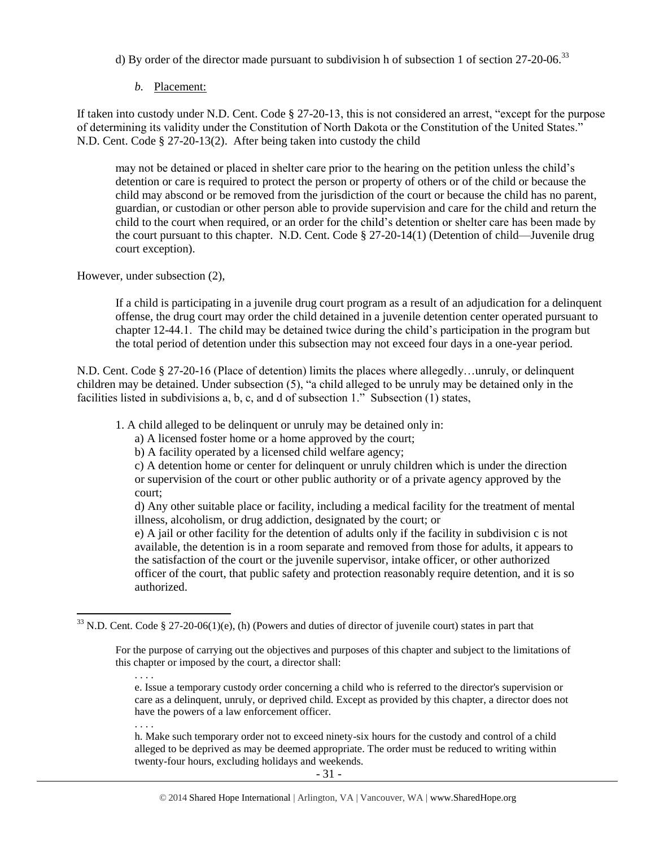d) By order of the director made pursuant to subdivision h of subsection 1 of section  $27-20-06$ .<sup>33</sup>

## *b.* Placement:

If taken into custody under N.D. Cent. Code § 27-20-13, this is not considered an arrest, "except for the purpose of determining its validity under the Constitution of North Dakota or the Constitution of the United States." N.D. Cent. Code § 27-20-13(2). After being taken into custody the child

may not be detained or placed in shelter care prior to the hearing on the petition unless the child's detention or care is required to protect the person or property of others or of the child or because the child may abscond or be removed from the jurisdiction of the court or because the child has no parent, guardian, or custodian or other person able to provide supervision and care for the child and return the child to the court when required, or an order for the child's detention or shelter care has been made by the court pursuant to this chapter. N.D. Cent. Code § 27-20-14(1) (Detention of child—Juvenile drug court exception).

However, under subsection (2),

If a child is participating in a juvenile drug court program as a result of an adjudication for a delinquent offense, the drug court may order the child detained in a juvenile detention center operated pursuant to chapter 12-44.1. The child may be detained twice during the child's participation in the program but the total period of detention under this subsection may not exceed four days in a one-year period.

N.D. Cent. Code § 27-20-16 (Place of detention) limits the places where allegedly…unruly, or delinquent children may be detained. Under subsection (5), "a child alleged to be unruly may be detained only in the facilities listed in subdivisions a, b, c, and d of subsection 1." Subsection (1) states,

1. A child alleged to be delinquent or unruly may be detained only in:

a) A licensed foster home or a home approved by the court;

b) A facility operated by a licensed child welfare agency;

c) A detention home or center for delinquent or unruly children which is under the direction or supervision of the court or other public authority or of a private agency approved by the court;

d) Any other suitable place or facility, including a medical facility for the treatment of mental illness, alcoholism, or drug addiction, designated by the court; or

e) A jail or other facility for the detention of adults only if the facility in subdivision c is not available, the detention is in a room separate and removed from those for adults, it appears to the satisfaction of the court or the juvenile supervisor, intake officer, or other authorized officer of the court, that public safety and protection reasonably require detention, and it is so authorized.

e. Issue a temporary custody order concerning a child who is referred to the director's supervision or care as a delinquent, unruly, or deprived child. Except as provided by this chapter, a director does not have the powers of a law enforcement officer.

. . . .

 $\overline{a}$ 

h. Make such temporary order not to exceed ninety-six hours for the custody and control of a child alleged to be deprived as may be deemed appropriate. The order must be reduced to writing within twenty-four hours, excluding holidays and weekends.

 $33$  N.D. Cent. Code § 27-20-06(1)(e), (h) (Powers and duties of director of juvenile court) states in part that

For the purpose of carrying out the objectives and purposes of this chapter and subject to the limitations of this chapter or imposed by the court, a director shall: . . . .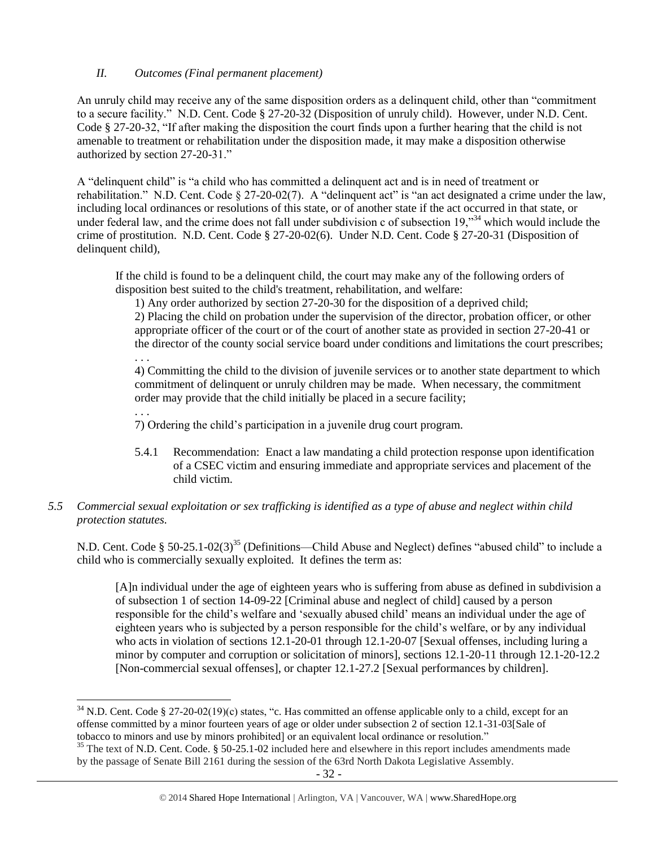## *II. Outcomes (Final permanent placement)*

An unruly child may receive any of the same disposition orders as a delinquent child, other than "commitment to a secure facility." N.D. Cent. Code § 27-20-32 (Disposition of unruly child). However, under N.D. Cent. Code § 27-20-32, "If after making the disposition the court finds upon a further hearing that the child is not amenable to treatment or rehabilitation under the disposition made, it may make a disposition otherwise authorized by section 27-20-31."

A "delinquent child" is "a child who has committed a delinquent act and is in need of treatment or rehabilitation." N.D. Cent. Code § 27-20-02(7). A "delinquent act" is "an act designated a crime under the law, including local ordinances or resolutions of this state, or of another state if the act occurred in that state, or under federal law, and the crime does not fall under subdivision c of subsection 19,"<sup>34</sup> which would include the crime of prostitution. N.D. Cent. Code § 27-20-02(6). Under N.D. Cent. Code § 27-20-31 (Disposition of delinquent child),

If the child is found to be a delinquent child, the court may make any of the following orders of disposition best suited to the child's treatment, rehabilitation, and welfare:

1) Any order authorized by section 27-20-30 for the disposition of a deprived child;

2) Placing the child on probation under the supervision of the director, probation officer, or other appropriate officer of the court or of the court of another state as provided in section 27-20-41 or the director of the county social service board under conditions and limitations the court prescribes; . . .

4) Committing the child to the division of juvenile services or to another state department to which commitment of delinquent or unruly children may be made. When necessary, the commitment order may provide that the child initially be placed in a secure facility;

. . .

 $\overline{\phantom{a}}$ 

7) Ordering the child's participation in a juvenile drug court program.

5.4.1 Recommendation: Enact a law mandating a child protection response upon identification of a CSEC victim and ensuring immediate and appropriate services and placement of the child victim.

## *5.5 Commercial sexual exploitation or sex trafficking is identified as a type of abuse and neglect within child protection statutes.*

N.D. Cent. Code § 50-25.1-02(3)<sup>35</sup> (Definitions—Child Abuse and Neglect) defines "abused child" to include a child who is commercially sexually exploited. It defines the term as:

<span id="page-31-0"></span>[A]n individual under the age of eighteen years who is suffering from abuse as defined in subdivision a of subsection 1 of section 14-09-22 [Criminal abuse and neglect of child] caused by a person responsible for the child's welfare and 'sexually abused child' means an individual under the age of eighteen years who is subjected by a person responsible for the child's welfare, or by any individual who acts in violation of sections 12.1-20-01 through 12.1-20-07 [Sexual offenses, including luring a minor by computer and corruption or solicitation of minors], sections 12.1-20-11 through 12.1-20-12.2 [Non-commercial sexual offenses], or chapter 12.1-27.2 [Sexual performances by children].

 $34$  N.D. Cent. Code § 27-20-02(19)(c) states, "c. Has committed an offense applicable only to a child, except for an offense committed by a minor fourteen years of age or older under subsection 2 of section 12.1-31-03[Sale of tobacco to minors and use by minors prohibited] or an equivalent local ordinance or resolution."

<sup>&</sup>lt;sup>35</sup> The text of N.D. Cent. Code. § 50-25.1-02 included here and elsewhere in this report includes amendments made by the passage of Senate Bill 2161 during the session of the 63rd North Dakota Legislative Assembly.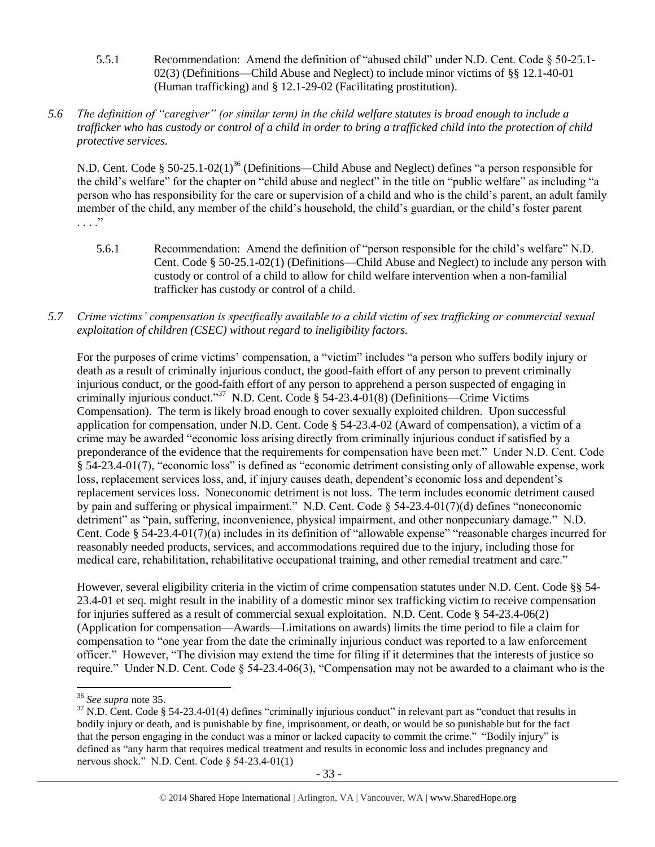- 5.5.1 Recommendation: Amend the definition of "abused child" under N.D. Cent. Code § 50-25.1- 02(3) (Definitions—Child Abuse and Neglect) to include minor victims of §§ 12.1-40-01 (Human trafficking) and § 12.1-29-02 (Facilitating prostitution).
- *5.6 The definition of "caregiver" (or similar term) in the child welfare statutes is broad enough to include a trafficker who has custody or control of a child in order to bring a trafficked child into the protection of child protective services.*

N.D. Cent. Code § 50-25.1-02(1)<sup>36</sup> (Definitions—Child Abuse and Neglect) defines "a person responsible for the child's welfare" for the chapter on "child abuse and neglect" in the title on "public welfare" as including "a person who has responsibility for the care or supervision of a child and who is the child's parent, an adult family member of the child, any member of the child's household, the child's guardian, or the child's foster parent . . . ."

- 5.6.1 Recommendation: Amend the definition of "person responsible for the child's welfare" N.D. Cent. Code § 50-25.1-02(1) (Definitions—Child Abuse and Neglect) to include any person with custody or control of a child to allow for child welfare intervention when a non-familial trafficker has custody or control of a child.
- *5.7 Crime victims' compensation is specifically available to a child victim of sex trafficking or commercial sexual exploitation of children (CSEC) without regard to ineligibility factors.*

For the purposes of crime victims' compensation, a "victim" includes "a person who suffers bodily injury or death as a result of criminally injurious conduct, the good-faith effort of any person to prevent criminally injurious conduct, or the good-faith effort of any person to apprehend a person suspected of engaging in criminally injurious conduct."<sup>37</sup> N.D. Cent. Code § 54-23.4-01(8) (Definitions—Crime Victims Compensation). The term is likely broad enough to cover sexually exploited children. Upon successful application for compensation, under N.D. Cent. Code § 54-23.4-02 (Award of compensation), a victim of a crime may be awarded "economic loss arising directly from criminally injurious conduct if satisfied by a preponderance of the evidence that the requirements for compensation have been met." Under N.D. Cent. Code § 54-23.4-01(7), "economic loss" is defined as "economic detriment consisting only of allowable expense, work loss, replacement services loss, and, if injury causes death, dependent's economic loss and dependent's replacement services loss. Noneconomic detriment is not loss. The term includes economic detriment caused by pain and suffering or physical impairment." N.D. Cent. Code § 54-23.4-01(7)(d) defines "noneconomic detriment" as "pain, suffering, inconvenience, physical impairment, and other nonpecuniary damage." N.D. Cent. Code § 54-23.4-01(7)(a) includes in its definition of "allowable expense" "reasonable charges incurred for reasonably needed products, services, and accommodations required due to the injury, including those for medical care, rehabilitation, rehabilitative occupational training, and other remedial treatment and care."

However, several eligibility criteria in the victim of crime compensation statutes under N.D. Cent. Code §§ 54- 23.4-01 et seq. might result in the inability of a domestic minor sex trafficking victim to receive compensation for injuries suffered as a result of commercial sexual exploitation. N.D. Cent. Code § 54-23.4-06(2) (Application for compensation—Awards—Limitations on awards) limits the time period to file a claim for compensation to "one year from the date the criminally injurious conduct was reported to a law enforcement officer." However, "The division may extend the time for filing if it determines that the interests of justice so require." Under N.D. Cent. Code § 54-23.4-06(3), "Compensation may not be awarded to a claimant who is the

l

<sup>36</sup> *See supra* note [35.](#page-31-0)

 $37$  N.D. Cent. Code § 54-23.4-01(4) defines "criminally injurious conduct" in relevant part as "conduct that results in bodily injury or death, and is punishable by fine, imprisonment, or death, or would be so punishable but for the fact that the person engaging in the conduct was a minor or lacked capacity to commit the crime." "Bodily injury" is defined as "any harm that requires medical treatment and results in economic loss and includes pregnancy and nervous shock." N.D. Cent. Code § 54-23.4-01(1)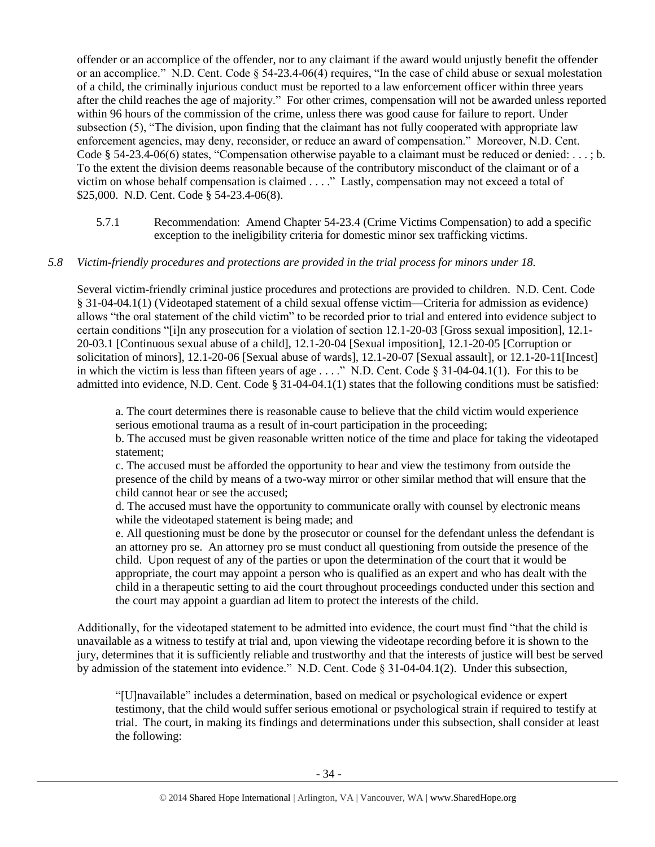offender or an accomplice of the offender, nor to any claimant if the award would unjustly benefit the offender or an accomplice." N.D. Cent. Code § 54-23.4-06(4) requires, "In the case of child abuse or sexual molestation of a child, the criminally injurious conduct must be reported to a law enforcement officer within three years after the child reaches the age of majority." For other crimes, compensation will not be awarded unless reported within 96 hours of the commission of the crime, unless there was good cause for failure to report. Under subsection (5), "The division, upon finding that the claimant has not fully cooperated with appropriate law enforcement agencies, may deny, reconsider, or reduce an award of compensation." Moreover, N.D. Cent. Code § 54-23.4-06(6) states, "Compensation otherwise payable to a claimant must be reduced or denied:  $\dots$ ; b. To the extent the division deems reasonable because of the contributory misconduct of the claimant or of a victim on whose behalf compensation is claimed . . . ." Lastly, compensation may not exceed a total of \$25,000. N.D. Cent. Code § 54-23.4-06(8).

5.7.1 Recommendation: Amend Chapter 54-23.4 (Crime Victims Compensation) to add a specific exception to the ineligibility criteria for domestic minor sex trafficking victims.

## *5.8 Victim-friendly procedures and protections are provided in the trial process for minors under 18.*

Several victim-friendly criminal justice procedures and protections are provided to children. N.D. Cent. Code § 31-04-04.1(1) (Videotaped statement of a child sexual offense victim—Criteria for admission as evidence) allows "the oral statement of the child victim" to be recorded prior to trial and entered into evidence subject to certain conditions "[i]n any prosecution for a violation of section 12.1-20-03 [Gross sexual imposition], 12.1- 20-03.1 [Continuous sexual abuse of a child], 12.1-20-04 [Sexual imposition], 12.1-20-05 [Corruption or solicitation of minors], 12.1-20-06 [Sexual abuse of wards], 12.1-20-07 [Sexual assault], or 12.1-20-11[Incest] in which the victim is less than fifteen years of age . . . ." N.D. Cent. Code § 31-04-04.1(1). For this to be admitted into evidence, N.D. Cent. Code § 31-04-04.1(1) states that the following conditions must be satisfied:

a. The court determines there is reasonable cause to believe that the child victim would experience serious emotional trauma as a result of in-court participation in the proceeding;

b. The accused must be given reasonable written notice of the time and place for taking the videotaped statement;

c. The accused must be afforded the opportunity to hear and view the testimony from outside the presence of the child by means of a two-way mirror or other similar method that will ensure that the child cannot hear or see the accused;

d. The accused must have the opportunity to communicate orally with counsel by electronic means while the videotaped statement is being made; and

e. All questioning must be done by the prosecutor or counsel for the defendant unless the defendant is an attorney pro se. An attorney pro se must conduct all questioning from outside the presence of the child. Upon request of any of the parties or upon the determination of the court that it would be appropriate, the court may appoint a person who is qualified as an expert and who has dealt with the child in a therapeutic setting to aid the court throughout proceedings conducted under this section and the court may appoint a guardian ad litem to protect the interests of the child.

Additionally, for the videotaped statement to be admitted into evidence, the court must find "that the child is unavailable as a witness to testify at trial and, upon viewing the videotape recording before it is shown to the jury, determines that it is sufficiently reliable and trustworthy and that the interests of justice will best be served by admission of the statement into evidence." N.D. Cent. Code § 31-04-04.1(2). Under this subsection,

"[U]navailable" includes a determination, based on medical or psychological evidence or expert testimony, that the child would suffer serious emotional or psychological strain if required to testify at trial. The court, in making its findings and determinations under this subsection, shall consider at least the following: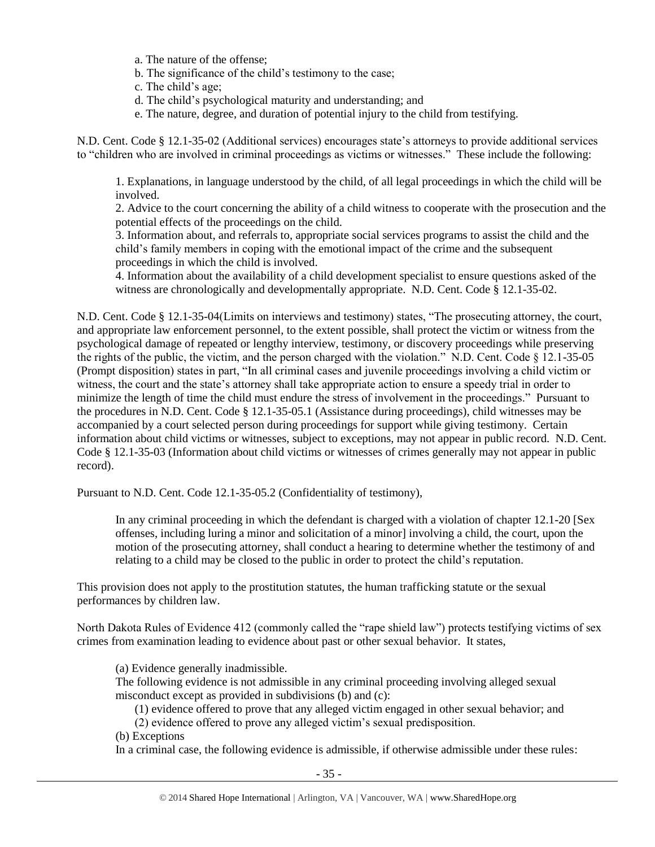- a. The nature of the offense;
- b. The significance of the child's testimony to the case;
- c. The child's age;
- d. The child's psychological maturity and understanding; and
- e. The nature, degree, and duration of potential injury to the child from testifying.

N.D. Cent. Code § 12.1-35-02 (Additional services) encourages state's attorneys to provide additional services to "children who are involved in criminal proceedings as victims or witnesses." These include the following:

1. Explanations, in language understood by the child, of all legal proceedings in which the child will be involved.

2. Advice to the court concerning the ability of a child witness to cooperate with the prosecution and the potential effects of the proceedings on the child.

3. Information about, and referrals to, appropriate social services programs to assist the child and the child's family members in coping with the emotional impact of the crime and the subsequent proceedings in which the child is involved.

4. Information about the availability of a child development specialist to ensure questions asked of the witness are chronologically and developmentally appropriate. N.D. Cent. Code § 12.1-35-02.

N.D. Cent. Code § 12.1-35-04(Limits on interviews and testimony) states, "The prosecuting attorney, the court, and appropriate law enforcement personnel, to the extent possible, shall protect the victim or witness from the psychological damage of repeated or lengthy interview, testimony, or discovery proceedings while preserving the rights of the public, the victim, and the person charged with the violation." N.D. Cent. Code § 12.1-35-05 (Prompt disposition) states in part, "In all criminal cases and juvenile proceedings involving a child victim or witness, the court and the state's attorney shall take appropriate action to ensure a speedy trial in order to minimize the length of time the child must endure the stress of involvement in the proceedings." Pursuant to the procedures in N.D. Cent. Code § 12.1-35-05.1 (Assistance during proceedings), child witnesses may be accompanied by a court selected person during proceedings for support while giving testimony. Certain information about child victims or witnesses, subject to exceptions, may not appear in public record. N.D. Cent. Code § 12.1-35-03 (Information about child victims or witnesses of crimes generally may not appear in public record).

Pursuant to N.D. Cent. Code 12.1-35-05.2 (Confidentiality of testimony),

In any criminal proceeding in which the defendant is charged with a violation of chapter 12.1-20 [Sex offenses, including luring a minor and solicitation of a minor] involving a child, the court, upon the motion of the prosecuting attorney, shall conduct a hearing to determine whether the testimony of and relating to a child may be closed to the public in order to protect the child's reputation.

This provision does not apply to the prostitution statutes, the human trafficking statute or the sexual performances by children law.

North Dakota Rules of Evidence 412 (commonly called the "rape shield law") protects testifying victims of sex crimes from examination leading to evidence about past or other sexual behavior. It states,

(a) Evidence generally inadmissible.

The following evidence is not admissible in any criminal proceeding involving alleged sexual misconduct except as provided in subdivisions (b) and (c):

(1) evidence offered to prove that any alleged victim engaged in other sexual behavior; and

(2) evidence offered to prove any alleged victim's sexual predisposition.

(b) Exceptions

In a criminal case, the following evidence is admissible, if otherwise admissible under these rules: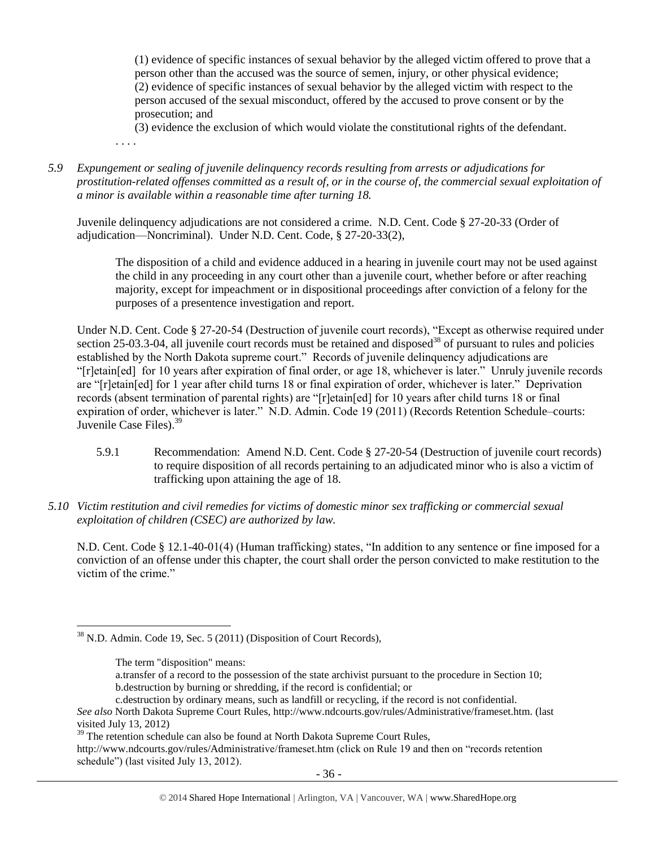(1) evidence of specific instances of sexual behavior by the alleged victim offered to prove that a person other than the accused was the source of semen, injury, or other physical evidence; (2) evidence of specific instances of sexual behavior by the alleged victim with respect to the person accused of the sexual misconduct, offered by the accused to prove consent or by the prosecution; and

(3) evidence the exclusion of which would violate the constitutional rights of the defendant. . . . .

*5.9 Expungement or sealing of juvenile delinquency records resulting from arrests or adjudications for prostitution-related offenses committed as a result of, or in the course of, the commercial sexual exploitation of a minor is available within a reasonable time after turning 18.*

Juvenile delinquency adjudications are not considered a crime. N.D. Cent. Code § 27-20-33 (Order of adjudication—Noncriminal). Under N.D. Cent. Code, § 27-20-33(2),

The disposition of a child and evidence adduced in a hearing in juvenile court may not be used against the child in any proceeding in any court other than a juvenile court, whether before or after reaching majority, except for impeachment or in dispositional proceedings after conviction of a felony for the purposes of a presentence investigation and report.

Under N.D. Cent. Code § 27-20-54 (Destruction of juvenile court records), "Except as otherwise required under section 25-03.3-04, all juvenile court records must be retained and disposed<sup>38</sup> of pursuant to rules and policies established by the North Dakota supreme court." Records of juvenile delinquency adjudications are "[r]etain[ed] for 10 years after expiration of final order, or age 18, whichever is later." Unruly juvenile records are "[r]etain[ed] for 1 year after child turns 18 or final expiration of order, whichever is later." Deprivation records (absent termination of parental rights) are "[r]etain[ed] for 10 years after child turns 18 or final expiration of order, whichever is later." N.D. Admin. Code 19 (2011) (Records Retention Schedule–courts: Juvenile Case Files).<sup>39</sup>

- 5.9.1 Recommendation: Amend N.D. Cent. Code § 27-20-54 (Destruction of juvenile court records) to require disposition of all records pertaining to an adjudicated minor who is also a victim of trafficking upon attaining the age of 18.
- *5.10 Victim restitution and civil remedies for victims of domestic minor sex trafficking or commercial sexual exploitation of children (CSEC) are authorized by law.*

N.D. Cent. Code § 12.1-40-01(4) (Human trafficking) states, "In addition to any sentence or fine imposed for a conviction of an offense under this chapter, the court shall order the person convicted to make restitution to the victim of the crime."

a.transfer of a record to the possession of the state archivist pursuant to the procedure in Section 10; b.destruction by burning or shredding, if the record is confidential; or

 $\overline{\phantom{a}}$ <sup>38</sup> N.D. Admin. Code 19, Sec. 5 (2011) (Disposition of Court Records),

The term "disposition" means:

c.destruction by ordinary means, such as landfill or recycling, if the record is not confidential.

*See also* North Dakota Supreme Court Rules, http://www.ndcourts.gov/rules/Administrative/frameset.htm. (last visited July 13, 2012)

<sup>&</sup>lt;sup>39</sup> The retention schedule can also be found at North Dakota Supreme Court Rules, http://www.ndcourts.gov/rules/Administrative/frameset.htm (click on Rule 19 and then on "records retention schedule") (last visited July 13, 2012).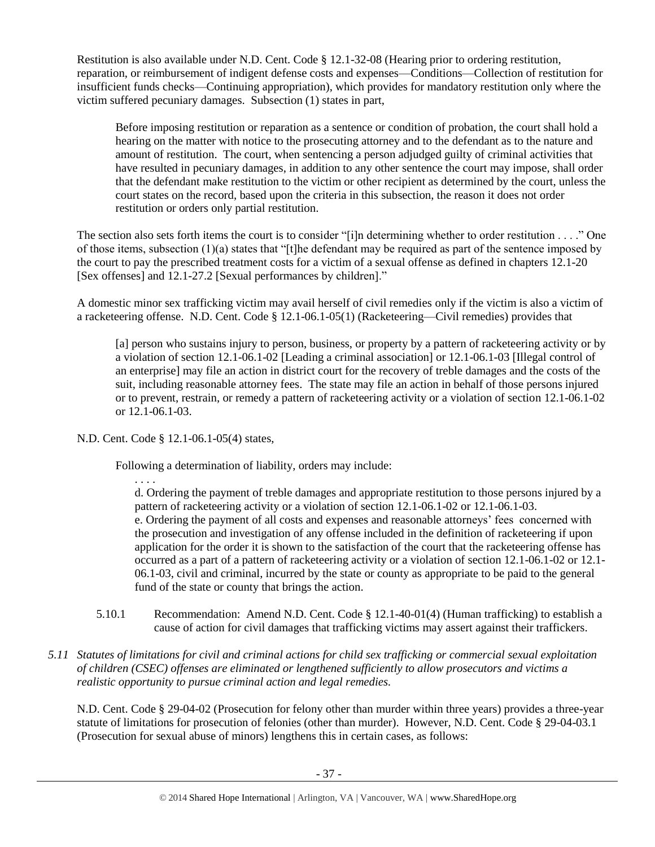Restitution is also available under N.D. Cent. Code § 12.1-32-08 (Hearing prior to ordering restitution, reparation, or reimbursement of indigent defense costs and expenses—Conditions—Collection of restitution for insufficient funds checks—Continuing appropriation), which provides for mandatory restitution only where the victim suffered pecuniary damages. Subsection (1) states in part,

Before imposing restitution or reparation as a sentence or condition of probation, the court shall hold a hearing on the matter with notice to the prosecuting attorney and to the defendant as to the nature and amount of restitution. The court, when sentencing a person adjudged guilty of criminal activities that have resulted in pecuniary damages, in addition to any other sentence the court may impose, shall order that the defendant make restitution to the victim or other recipient as determined by the court, unless the court states on the record, based upon the criteria in this subsection, the reason it does not order restitution or orders only partial restitution.

The section also sets forth items the court is to consider "[i]n determining whether to order restitution . . . ." One of those items, subsection (1)(a) states that "[t]he defendant may be required as part of the sentence imposed by the court to pay the prescribed treatment costs for a victim of a sexual offense as defined in chapters 12.1-20 [Sex offenses] and 12.1-27.2 [Sexual performances by children]."

A domestic minor sex trafficking victim may avail herself of civil remedies only if the victim is also a victim of a racketeering offense. N.D. Cent. Code § 12.1-06.1-05(1) (Racketeering—Civil remedies) provides that

[a] person who sustains injury to person, business, or property by a pattern of racketeering activity or by a violation of section 12.1-06.1-02 [Leading a criminal association] or 12.1-06.1-03 [Illegal control of an enterprise] may file an action in district court for the recovery of treble damages and the costs of the suit, including reasonable attorney fees. The state may file an action in behalf of those persons injured or to prevent, restrain, or remedy a pattern of racketeering activity or a violation of section 12.1-06.1-02 or 12.1-06.1-03.

N.D. Cent. Code § 12.1-06.1-05(4) states,

Following a determination of liability, orders may include:

. . . . d. Ordering the payment of treble damages and appropriate restitution to those persons injured by a pattern of racketeering activity or a violation of section 12.1-06.1-02 or 12.1-06.1-03. e. Ordering the payment of all costs and expenses and reasonable attorneys' fees concerned with the prosecution and investigation of any offense included in the definition of racketeering if upon application for the order it is shown to the satisfaction of the court that the racketeering offense has occurred as a part of a pattern of racketeering activity or a violation of section 12.1-06.1-02 or 12.1- 06.1-03, civil and criminal, incurred by the state or county as appropriate to be paid to the general fund of the state or county that brings the action.

- 5.10.1 Recommendation: Amend N.D. Cent. Code § 12.1-40-01(4) (Human trafficking) to establish a cause of action for civil damages that trafficking victims may assert against their traffickers.
- *5.11 Statutes of limitations for civil and criminal actions for child sex trafficking or commercial sexual exploitation of children (CSEC) offenses are eliminated or lengthened sufficiently to allow prosecutors and victims a realistic opportunity to pursue criminal action and legal remedies.*

N.D. Cent. Code § 29-04-02 (Prosecution for felony other than murder within three years) provides a three-year statute of limitations for prosecution of felonies (other than murder). However, N.D. Cent. Code § 29-04-03.1 (Prosecution for sexual abuse of minors) lengthens this in certain cases, as follows: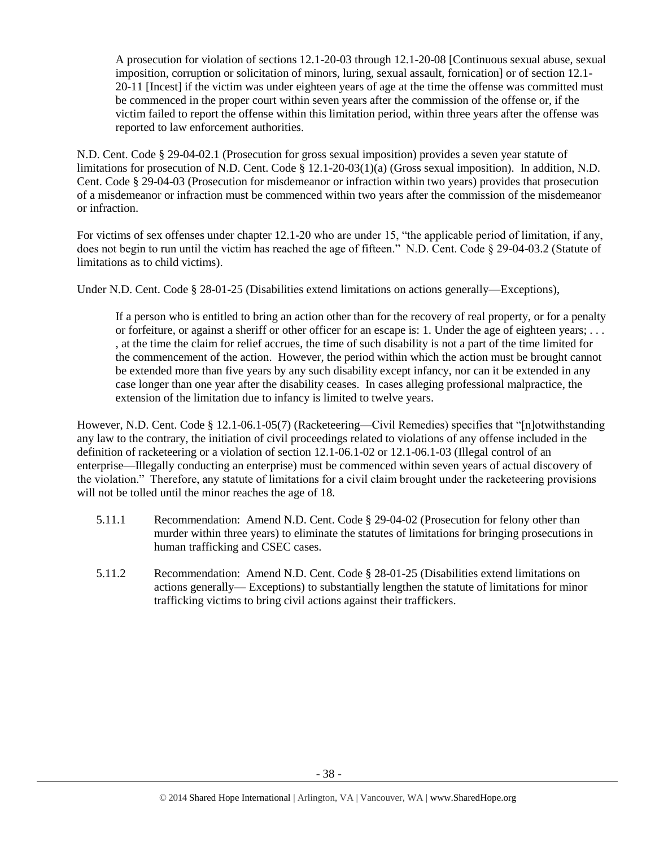A prosecution for violation of sections 12.1-20-03 through 12.1-20-08 [Continuous sexual abuse, sexual imposition, corruption or solicitation of minors, luring, sexual assault, fornication] or of section 12.1- 20-11 [Incest] if the victim was under eighteen years of age at the time the offense was committed must be commenced in the proper court within seven years after the commission of the offense or, if the victim failed to report the offense within this limitation period, within three years after the offense was reported to law enforcement authorities.

N.D. Cent. Code § 29-04-02.1 (Prosecution for gross sexual imposition) provides a seven year statute of limitations for prosecution of N.D. Cent. Code § 12.1-20-03(1)(a) (Gross sexual imposition). In addition, N.D. Cent. Code § 29-04-03 (Prosecution for misdemeanor or infraction within two years) provides that prosecution of a misdemeanor or infraction must be commenced within two years after the commission of the misdemeanor or infraction.

For victims of sex offenses under chapter 12.1-20 who are under 15, "the applicable period of limitation, if any, does not begin to run until the victim has reached the age of fifteen." N.D. Cent. Code § 29-04-03.2 (Statute of limitations as to child victims).

Under N.D. Cent. Code § 28-01-25 (Disabilities extend limitations on actions generally—Exceptions),

If a person who is entitled to bring an action other than for the recovery of real property, or for a penalty or forfeiture, or against a sheriff or other officer for an escape is: 1. Under the age of eighteen years; . . . , at the time the claim for relief accrues, the time of such disability is not a part of the time limited for the commencement of the action. However, the period within which the action must be brought cannot be extended more than five years by any such disability except infancy, nor can it be extended in any case longer than one year after the disability ceases. In cases alleging professional malpractice, the extension of the limitation due to infancy is limited to twelve years.

However, N.D. Cent. Code § 12.1-06.1-05(7) (Racketeering—Civil Remedies) specifies that "[n]otwithstanding any law to the contrary, the initiation of civil proceedings related to violations of any offense included in the definition of racketeering or a violation of section 12.1-06.1-02 or 12.1-06.1-03 (Illegal control of an enterprise—Illegally conducting an enterprise) must be commenced within seven years of actual discovery of the violation." Therefore, any statute of limitations for a civil claim brought under the racketeering provisions will not be tolled until the minor reaches the age of 18.

- 5.11.1 Recommendation: Amend N.D. Cent. Code § 29-04-02 (Prosecution for felony other than murder within three years) to eliminate the statutes of limitations for bringing prosecutions in human trafficking and CSEC cases.
- 5.11.2 Recommendation: Amend N.D. Cent. Code § 28-01-25 (Disabilities extend limitations on actions generally— Exceptions) to substantially lengthen the statute of limitations for minor trafficking victims to bring civil actions against their traffickers.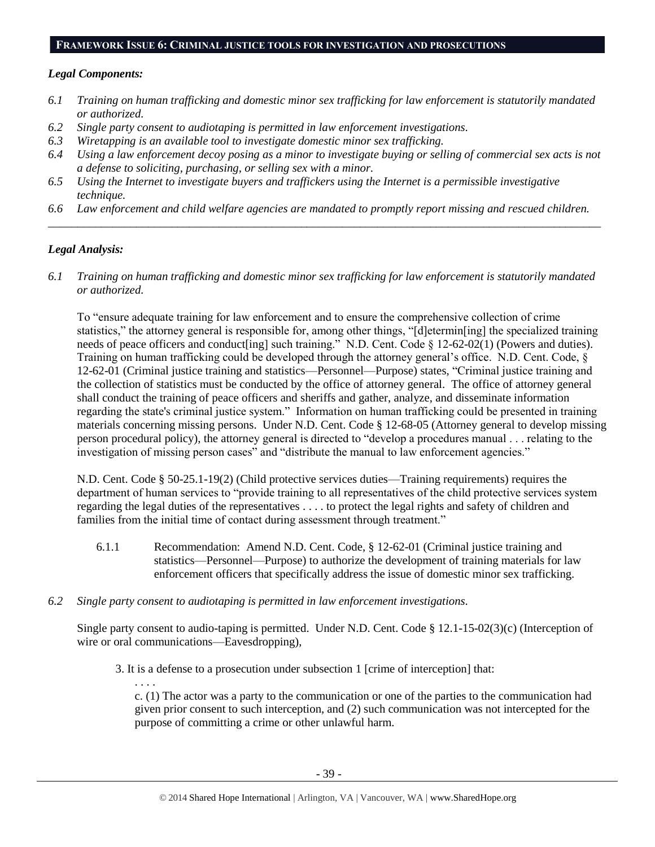#### **FRAMEWORK ISSUE 6: CRIMINAL JUSTICE TOOLS FOR INVESTIGATION AND PROSECUTIONS**

#### *Legal Components:*

- *6.1 Training on human trafficking and domestic minor sex trafficking for law enforcement is statutorily mandated or authorized.*
- *6.2 Single party consent to audiotaping is permitted in law enforcement investigations.*
- *6.3 Wiretapping is an available tool to investigate domestic minor sex trafficking.*
- *6.4 Using a law enforcement decoy posing as a minor to investigate buying or selling of commercial sex acts is not a defense to soliciting, purchasing, or selling sex with a minor.*
- *6.5 Using the Internet to investigate buyers and traffickers using the Internet is a permissible investigative technique.*
- *6.6 Law enforcement and child welfare agencies are mandated to promptly report missing and rescued children. \_\_\_\_\_\_\_\_\_\_\_\_\_\_\_\_\_\_\_\_\_\_\_\_\_\_\_\_\_\_\_\_\_\_\_\_\_\_\_\_\_\_\_\_\_\_\_\_\_\_\_\_\_\_\_\_\_\_\_\_\_\_\_\_\_\_\_\_\_\_\_\_\_\_\_\_\_\_\_\_\_\_\_\_\_\_\_\_\_\_\_\_\_\_*

# *Legal Analysis:*

*6.1 Training on human trafficking and domestic minor sex trafficking for law enforcement is statutorily mandated or authorized.*

To "ensure adequate training for law enforcement and to ensure the comprehensive collection of crime statistics," the attorney general is responsible for, among other things, "[d]etermin[ing] the specialized training needs of peace officers and conduct[ing] such training." N.D. Cent. Code § 12-62-02(1) (Powers and duties). Training on human trafficking could be developed through the attorney general's office. N.D. Cent. Code, § 12-62-01 (Criminal justice training and statistics—Personnel—Purpose) states, "Criminal justice training and the collection of statistics must be conducted by the office of attorney general. The office of attorney general shall conduct the training of peace officers and sheriffs and gather, analyze, and disseminate information regarding the state's criminal justice system." Information on human trafficking could be presented in training materials concerning missing persons. Under N.D. Cent. Code § 12-68-05 (Attorney general to develop missing person procedural policy), the attorney general is directed to "develop a procedures manual . . . relating to the investigation of missing person cases" and "distribute the manual to law enforcement agencies."

N.D. Cent. Code § 50-25.1-19(2) (Child protective services duties—Training requirements) requires the department of human services to "provide training to all representatives of the child protective services system regarding the legal duties of the representatives . . . . to protect the legal rights and safety of children and families from the initial time of contact during assessment through treatment."

- 6.1.1 Recommendation: Amend N.D. Cent. Code, § 12-62-01 (Criminal justice training and statistics—Personnel—Purpose) to authorize the development of training materials for law enforcement officers that specifically address the issue of domestic minor sex trafficking.
- *6.2 Single party consent to audiotaping is permitted in law enforcement investigations.*

Single party consent to audio-taping is permitted. Under N.D. Cent. Code § 12.1-15-02(3)(c) (Interception of wire or oral communications—Eavesdropping),

3. It is a defense to a prosecution under subsection 1 [crime of interception] that:

. . . . c. (1) The actor was a party to the communication or one of the parties to the communication had given prior consent to such interception, and (2) such communication was not intercepted for the purpose of committing a crime or other unlawful harm.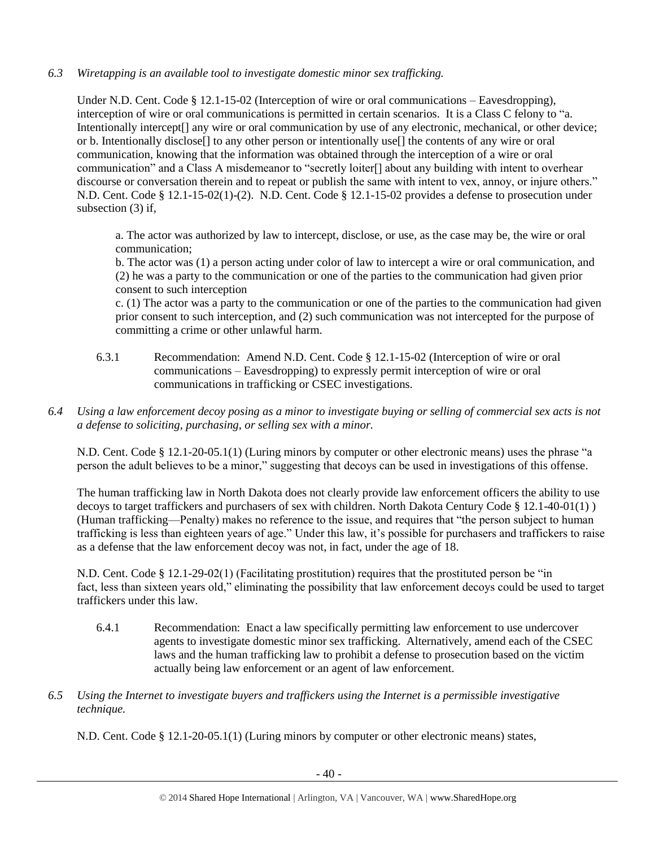# *6.3 Wiretapping is an available tool to investigate domestic minor sex trafficking.*

Under N.D. Cent. Code § 12.1-15-02 (Interception of wire or oral communications – Eavesdropping), interception of wire or oral communications is permitted in certain scenarios. It is a Class C felony to "a. Intentionally intercept[] any wire or oral communication by use of any electronic, mechanical, or other device; or b. Intentionally disclose[] to any other person or intentionally use[] the contents of any wire or oral communication, knowing that the information was obtained through the interception of a wire or oral communication" and a Class A misdemeanor to "secretly loiter[] about any building with intent to overhear discourse or conversation therein and to repeat or publish the same with intent to vex, annoy, or injure others." N.D. Cent. Code § 12.1-15-02(1)-(2). N.D. Cent. Code § 12.1-15-02 provides a defense to prosecution under subsection (3) if,

a. The actor was authorized by law to intercept, disclose, or use, as the case may be, the wire or oral communication;

b. The actor was (1) a person acting under color of law to intercept a wire or oral communication, and (2) he was a party to the communication or one of the parties to the communication had given prior consent to such interception

c. (1) The actor was a party to the communication or one of the parties to the communication had given prior consent to such interception, and (2) such communication was not intercepted for the purpose of committing a crime or other unlawful harm.

- 6.3.1 Recommendation: Amend N.D. Cent. Code § 12.1-15-02 (Interception of wire or oral communications – Eavesdropping) to expressly permit interception of wire or oral communications in trafficking or CSEC investigations.
- *6.4 Using a law enforcement decoy posing as a minor to investigate buying or selling of commercial sex acts is not a defense to soliciting, purchasing, or selling sex with a minor.*

N.D. Cent. Code § 12.1-20-05.1(1) (Luring minors by computer or other electronic means) uses the phrase "a person the adult believes to be a minor," suggesting that decoys can be used in investigations of this offense.

The human trafficking law in North Dakota does not clearly provide law enforcement officers the ability to use decoys to target traffickers and purchasers of sex with children. North Dakota Century Code § 12.1-40-01(1) ) (Human trafficking—Penalty) makes no reference to the issue, and requires that "the person subject to human trafficking is less than eighteen years of age." Under this law, it's possible for purchasers and traffickers to raise as a defense that the law enforcement decoy was not, in fact, under the age of 18.

N.D. Cent. Code § 12.1-29-02(1) (Facilitating prostitution) requires that the prostituted person be "in fact, less than sixteen years old," eliminating the possibility that law enforcement decoys could be used to target traffickers under this law.

- 6.4.1 Recommendation: Enact a law specifically permitting law enforcement to use undercover agents to investigate domestic minor sex trafficking. Alternatively, amend each of the CSEC laws and the human trafficking law to prohibit a defense to prosecution based on the victim actually being law enforcement or an agent of law enforcement.
- *6.5 Using the Internet to investigate buyers and traffickers using the Internet is a permissible investigative technique.*

N.D. Cent. Code § 12.1-20-05.1(1) (Luring minors by computer or other electronic means) states,